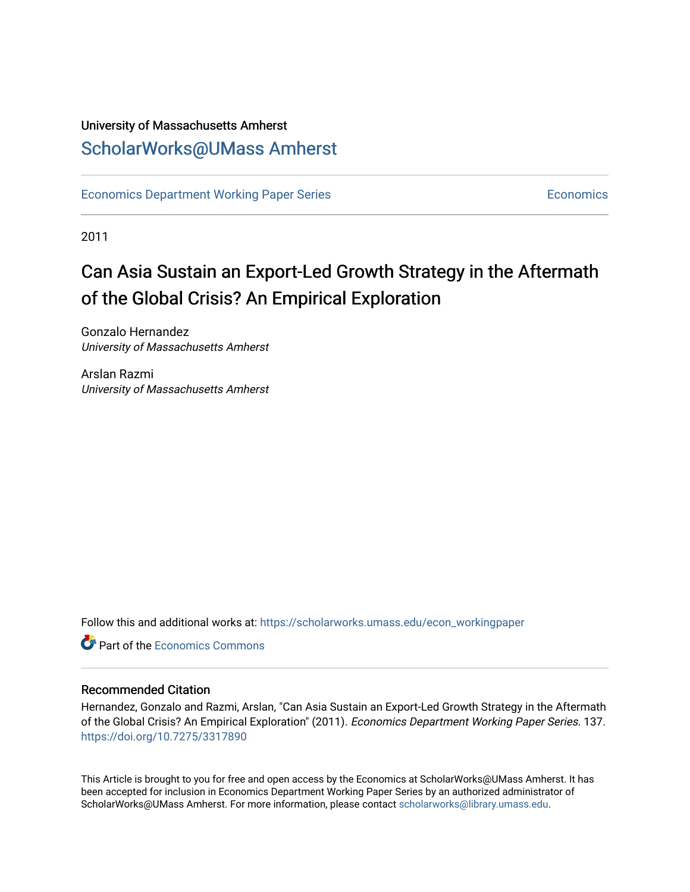### University of Massachusetts Amherst [ScholarWorks@UMass Amherst](https://scholarworks.umass.edu/)

[Economics Department Working Paper Series](https://scholarworks.umass.edu/econ_workingpaper) **Economics** [Economics](https://scholarworks.umass.edu/economics) Economics

2011

## Can Asia Sustain an Export-Led Growth Strategy in the Aftermath of the Global Crisis? An Empirical Exploration

Gonzalo Hernandez University of Massachusetts Amherst

Arslan Razmi University of Massachusetts Amherst

Follow this and additional works at: [https://scholarworks.umass.edu/econ\\_workingpaper](https://scholarworks.umass.edu/econ_workingpaper?utm_source=scholarworks.umass.edu%2Fecon_workingpaper%2F137&utm_medium=PDF&utm_campaign=PDFCoverPages) 

**C** Part of the [Economics Commons](http://network.bepress.com/hgg/discipline/340?utm_source=scholarworks.umass.edu%2Fecon_workingpaper%2F137&utm_medium=PDF&utm_campaign=PDFCoverPages)

#### Recommended Citation

Hernandez, Gonzalo and Razmi, Arslan, "Can Asia Sustain an Export-Led Growth Strategy in the Aftermath of the Global Crisis? An Empirical Exploration" (2011). Economics Department Working Paper Series. 137. <https://doi.org/10.7275/3317890>

This Article is brought to you for free and open access by the Economics at ScholarWorks@UMass Amherst. It has been accepted for inclusion in Economics Department Working Paper Series by an authorized administrator of ScholarWorks@UMass Amherst. For more information, please contact [scholarworks@library.umass.edu.](mailto:scholarworks@library.umass.edu)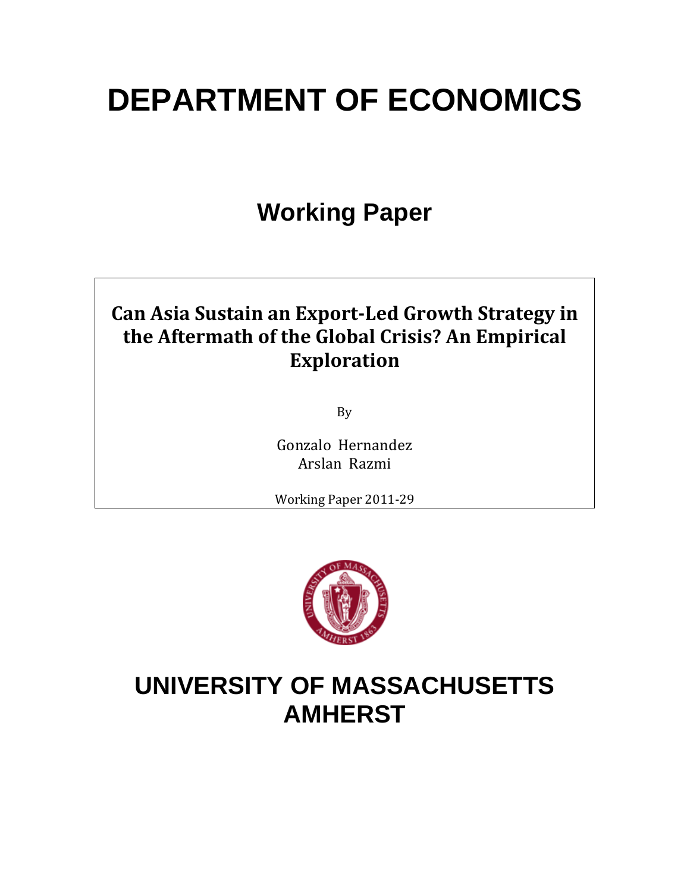# **DEPARTMENT OF ECONOMICS**

## **Working Paper**

## **Can Asia Sustain an ExportLed Growth Strategy in the Aftermath of the Global Crisis? An Empirical Exploration**

By

Gonzalo Hernandez Arslan Razmi

Working Paper 2011‐29



## **UNIVERSITY OF MASSACHUSETTS AMHERST**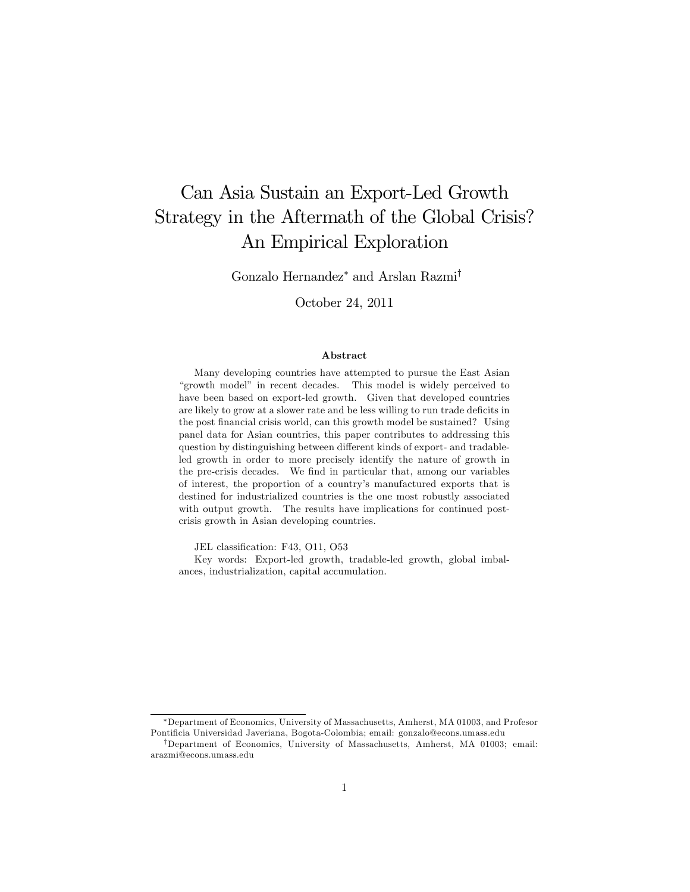### Can Asia Sustain an Export-Led Growth Strategy in the Aftermath of the Global Crisis? An Empirical Exploration

Gonzalo Hernandez<sup>\*</sup> and Arslan Razmi<sup>†</sup>

October 24, 2011

#### Abstract

Many developing countries have attempted to pursue the East Asian "growth model" in recent decades. This model is widely perceived to have been based on export-led growth. Given that developed countries are likely to grow at a slower rate and be less willing to run trade deficits in the post financial crisis world, can this growth model be sustained? Using panel data for Asian countries, this paper contributes to addressing this question by distinguishing between different kinds of export- and tradableled growth in order to more precisely identify the nature of growth in the pre-crisis decades. We find in particular that, among our variables of interest, the proportion of a countryís manufactured exports that is destined for industrialized countries is the one most robustly associated with output growth. The results have implications for continued postcrisis growth in Asian developing countries.

JEL classification: F43, O11, O53

Key words: Export-led growth, tradable-led growth, global imbalances, industrialization, capital accumulation.

Department of Economics, University of Massachusetts, Amherst, MA 01003, and Profesor Pontificia Universidad Javeriana, Bogota-Colombia; email: gonzalo@econs.umass.edu

<sup>&</sup>lt;sup>†</sup>Department of Economics, University of Massachusetts, Amherst, MA 01003; email: arazmi@econs.umass.edu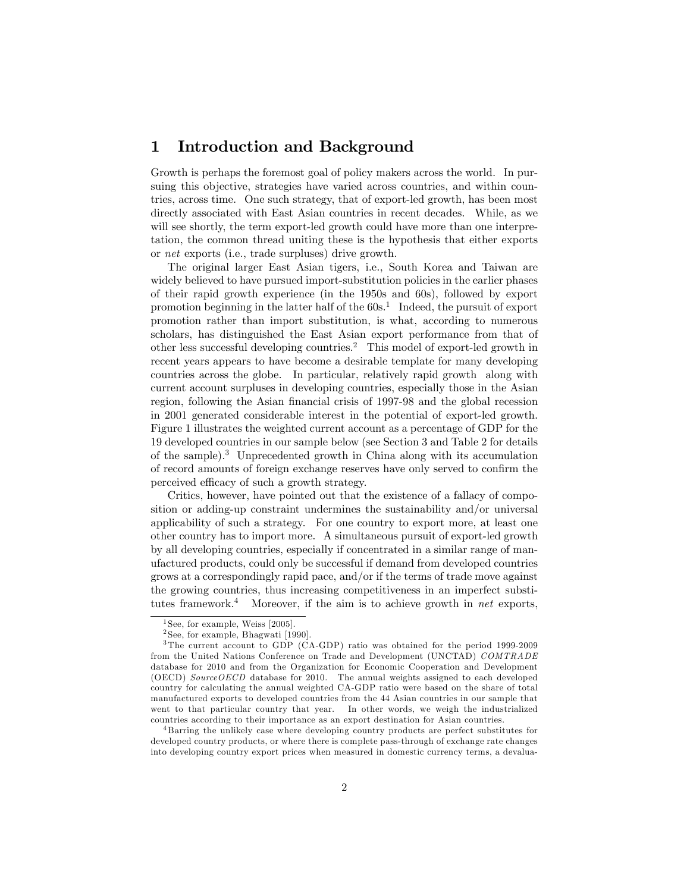#### 1 Introduction and Background

Growth is perhaps the foremost goal of policy makers across the world. In pursuing this objective, strategies have varied across countries, and within countries, across time. One such strategy, that of export-led growth, has been most directly associated with East Asian countries in recent decades. While, as we will see shortly, the term export-led growth could have more than one interpretation, the common thread uniting these is the hypothesis that either exports or net exports (i.e., trade surpluses) drive growth.

The original larger East Asian tigers, i.e., South Korea and Taiwan are widely believed to have pursued import-substitution policies in the earlier phases of their rapid growth experience (in the 1950s and 60s), followed by export promotion beginning in the latter half of the  $60s<sup>1</sup>$  Indeed, the pursuit of export promotion rather than import substitution, is what, according to numerous scholars, has distinguished the East Asian export performance from that of other less successful developing countries.<sup>2</sup> This model of export-led growth in recent years appears to have become a desirable template for many developing countries across the globe. In particular, relatively rapid growth along with current account surpluses in developing countries, especially those in the Asian region, following the Asian financial crisis of 1997-98 and the global recession in 2001 generated considerable interest in the potential of export-led growth. Figure 1 illustrates the weighted current account as a percentage of GDP for the 19 developed countries in our sample below (see Section 3 and Table 2 for details of the sample).<sup>3</sup> Unprecedented growth in China along with its accumulation of record amounts of foreign exchange reserves have only served to confirm the perceived efficacy of such a growth strategy.

Critics, however, have pointed out that the existence of a fallacy of composition or adding-up constraint undermines the sustainability and/or universal applicability of such a strategy. For one country to export more, at least one other country has to import more. A simultaneous pursuit of export-led growth by all developing countries, especially if concentrated in a similar range of manufactured products, could only be successful if demand from developed countries grows at a correspondingly rapid pace, and/or if the terms of trade move against the growing countries, thus increasing competitiveness in an imperfect substitutes framework.<sup>4</sup> Moreover, if the aim is to achieve growth in net exports,

<sup>4</sup> Barring the unlikely case where developing country products are perfect substitutes for developed country products, or where there is complete pass-through of exchange rate changes into developing country export prices when measured in domestic currency terms, a devalua-

<sup>&</sup>lt;sup>1</sup> See, for example, Weiss  $[2005]$ 

<sup>2</sup> See, for example, Bhagwati [1990].

<sup>3</sup> The current account to GDP (CA-GDP) ratio was obtained for the period 1999-2009 from the United Nations Conference on Trade and Development (UNCTAD) COMTRADE database for 2010 and from the Organization for Economic Cooperation and Development (OECD) Source OECD database for 2010. The annual weights assigned to each developed country for calculating the annual weighted CA-GDP ratio were based on the share of total manufactured exports to developed countries from the 44 Asian countries in our sample that went to that particular country that year. In other words, we weigh the industrialized countries according to their importance as an export destination for Asian countries.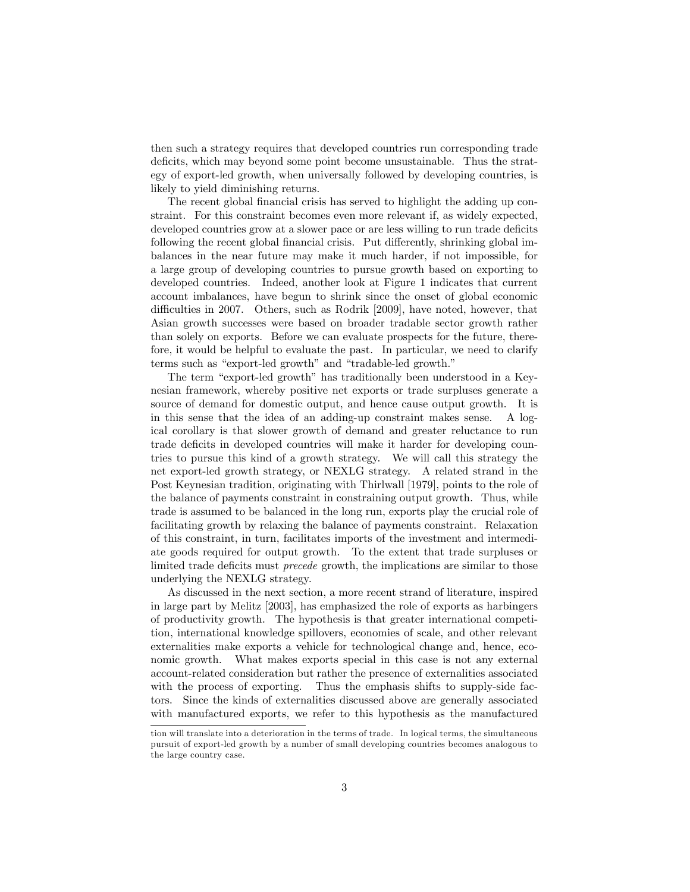then such a strategy requires that developed countries run corresponding trade deficits, which may beyond some point become unsustainable. Thus the strategy of export-led growth, when universally followed by developing countries, is likely to yield diminishing returns.

The recent global financial crisis has served to highlight the adding up constraint. For this constraint becomes even more relevant if, as widely expected, developed countries grow at a slower pace or are less willing to run trade deficits following the recent global financial crisis. Put differently, shrinking global imbalances in the near future may make it much harder, if not impossible, for a large group of developing countries to pursue growth based on exporting to developed countries. Indeed, another look at Figure 1 indicates that current account imbalances, have begun to shrink since the onset of global economic difficulties in 2007. Others, such as Rodrik [2009], have noted, however, that Asian growth successes were based on broader tradable sector growth rather than solely on exports. Before we can evaluate prospects for the future, therefore, it would be helpful to evaluate the past. In particular, we need to clarify terms such as "export-led growth" and "tradable-led growth."

The term "export-led growth" has traditionally been understood in a Keynesian framework, whereby positive net exports or trade surpluses generate a source of demand for domestic output, and hence cause output growth. It is in this sense that the idea of an adding-up constraint makes sense. A logical corollary is that slower growth of demand and greater reluctance to run trade deficits in developed countries will make it harder for developing countries to pursue this kind of a growth strategy. We will call this strategy the net export-led growth strategy, or NEXLG strategy. A related strand in the Post Keynesian tradition, originating with Thirlwall [1979], points to the role of the balance of payments constraint in constraining output growth. Thus, while trade is assumed to be balanced in the long run, exports play the crucial role of facilitating growth by relaxing the balance of payments constraint. Relaxation of this constraint, in turn, facilitates imports of the investment and intermediate goods required for output growth. To the extent that trade surpluses or limited trade deficits must *precede* growth, the implications are similar to those underlying the NEXLG strategy.

As discussed in the next section, a more recent strand of literature, inspired in large part by Melitz [2003], has emphasized the role of exports as harbingers of productivity growth. The hypothesis is that greater international competition, international knowledge spillovers, economies of scale, and other relevant externalities make exports a vehicle for technological change and, hence, economic growth. What makes exports special in this case is not any external account-related consideration but rather the presence of externalities associated with the process of exporting. Thus the emphasis shifts to supply-side factors. Since the kinds of externalities discussed above are generally associated with manufactured exports, we refer to this hypothesis as the manufactured

tion will translate into a deterioration in the terms of trade. In logical terms, the simultaneous pursuit of export-led growth by a number of small developing countries becomes analogous to the large country case.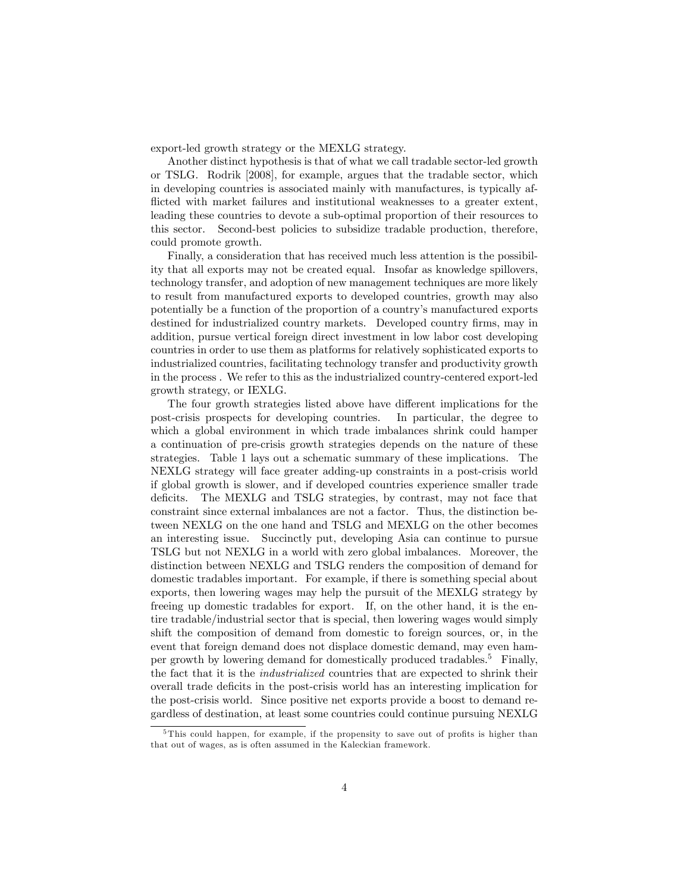export-led growth strategy or the MEXLG strategy.

Another distinct hypothesis is that of what we call tradable sector-led growth or TSLG. Rodrik [2008], for example, argues that the tradable sector, which in developing countries is associated mainly with manufactures, is typically afflicted with market failures and institutional weaknesses to a greater extent, leading these countries to devote a sub-optimal proportion of their resources to this sector. Second-best policies to subsidize tradable production, therefore, could promote growth.

Finally, a consideration that has received much less attention is the possibility that all exports may not be created equal. Insofar as knowledge spillovers, technology transfer, and adoption of new management techniques are more likely to result from manufactured exports to developed countries, growth may also potentially be a function of the proportion of a country's manufactured exports destined for industrialized country markets. Developed country firms, may in addition, pursue vertical foreign direct investment in low labor cost developing countries in order to use them as platforms for relatively sophisticated exports to industrialized countries, facilitating technology transfer and productivity growth in the process . We refer to this as the industrialized country-centered export-led growth strategy, or IEXLG.

The four growth strategies listed above have different implications for the post-crisis prospects for developing countries. In particular, the degree to which a global environment in which trade imbalances shrink could hamper a continuation of pre-crisis growth strategies depends on the nature of these strategies. Table 1 lays out a schematic summary of these implications. The NEXLG strategy will face greater adding-up constraints in a post-crisis world if global growth is slower, and if developed countries experience smaller trade deficits. The MEXLG and TSLG strategies, by contrast, may not face that constraint since external imbalances are not a factor. Thus, the distinction between NEXLG on the one hand and TSLG and MEXLG on the other becomes an interesting issue. Succinctly put, developing Asia can continue to pursue TSLG but not NEXLG in a world with zero global imbalances. Moreover, the distinction between NEXLG and TSLG renders the composition of demand for domestic tradables important. For example, if there is something special about exports, then lowering wages may help the pursuit of the MEXLG strategy by freeing up domestic tradables for export. If, on the other hand, it is the entire tradable/industrial sector that is special, then lowering wages would simply shift the composition of demand from domestic to foreign sources, or, in the event that foreign demand does not displace domestic demand, may even hamper growth by lowering demand for domestically produced tradables.<sup>5</sup> Finally, the fact that it is the industrialized countries that are expected to shrink their overall trade deficits in the post-crisis world has an interesting implication for the post-crisis world. Since positive net exports provide a boost to demand regardless of destination, at least some countries could continue pursuing NEXLG

 $5$ This could happen, for example, if the propensity to save out of profits is higher than that out of wages, as is often assumed in the Kaleckian framework.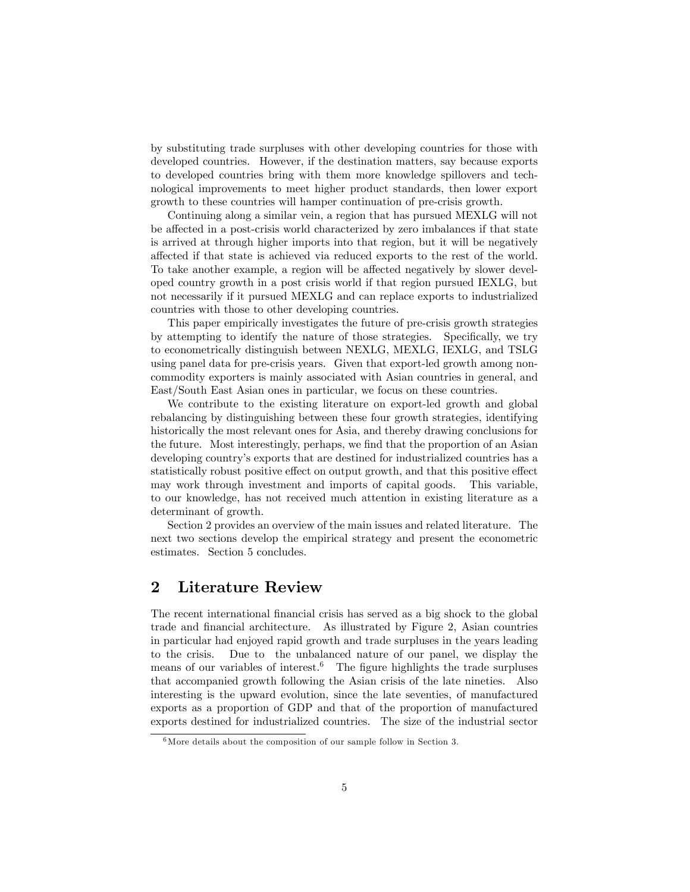by substituting trade surpluses with other developing countries for those with developed countries. However, if the destination matters, say because exports to developed countries bring with them more knowledge spillovers and technological improvements to meet higher product standards, then lower export growth to these countries will hamper continuation of pre-crisis growth.

Continuing along a similar vein, a region that has pursued MEXLG will not be affected in a post-crisis world characterized by zero imbalances if that state is arrived at through higher imports into that region, but it will be negatively affected if that state is achieved via reduced exports to the rest of the world. To take another example, a region will be affected negatively by slower developed country growth in a post crisis world if that region pursued IEXLG, but not necessarily if it pursued MEXLG and can replace exports to industrialized countries with those to other developing countries.

This paper empirically investigates the future of pre-crisis growth strategies by attempting to identify the nature of those strategies. Specifically, we try to econometrically distinguish between NEXLG, MEXLG, IEXLG, and TSLG using panel data for pre-crisis years. Given that export-led growth among noncommodity exporters is mainly associated with Asian countries in general, and East/South East Asian ones in particular, we focus on these countries.

We contribute to the existing literature on export-led growth and global rebalancing by distinguishing between these four growth strategies, identifying historically the most relevant ones for Asia, and thereby drawing conclusions for the future. Most interestingly, perhaps, we find that the proportion of an Asian developing countryís exports that are destined for industrialized countries has a statistically robust positive effect on output growth, and that this positive effect may work through investment and imports of capital goods. This variable, to our knowledge, has not received much attention in existing literature as a determinant of growth.

Section 2 provides an overview of the main issues and related literature. The next two sections develop the empirical strategy and present the econometric estimates. Section 5 concludes.

#### 2 Literature Review

The recent international financial crisis has served as a big shock to the global trade and Önancial architecture. As illustrated by Figure 2, Asian countries in particular had enjoyed rapid growth and trade surpluses in the years leading to the crisis. Due to the unbalanced nature of our panel, we display the means of our variables of interest.<sup>6</sup> The figure highlights the trade surpluses that accompanied growth following the Asian crisis of the late nineties. Also interesting is the upward evolution, since the late seventies, of manufactured exports as a proportion of GDP and that of the proportion of manufactured exports destined for industrialized countries. The size of the industrial sector

 $6$ More details about the composition of our sample follow in Section 3.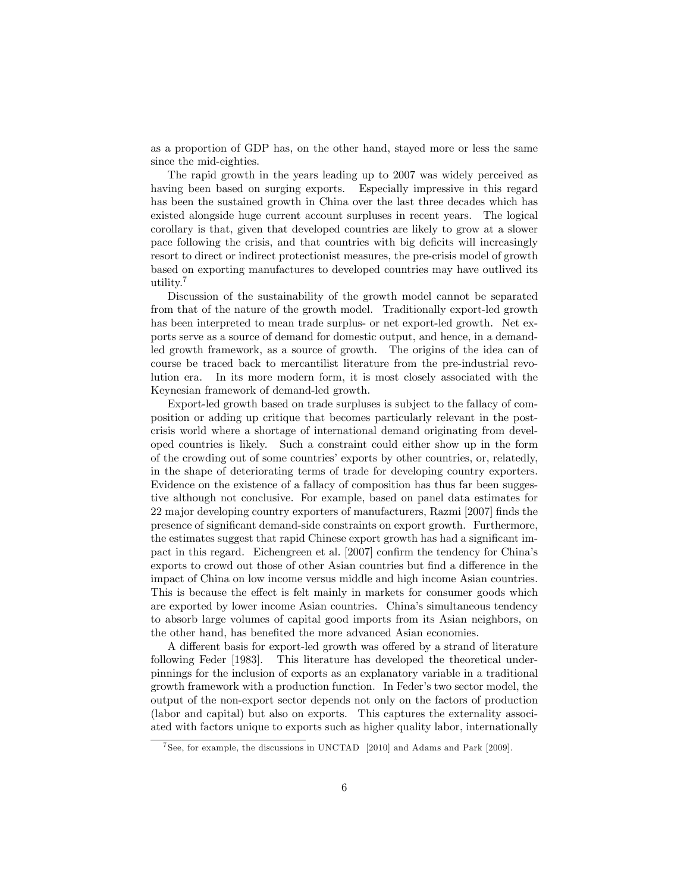as a proportion of GDP has, on the other hand, stayed more or less the same since the mid-eighties.

The rapid growth in the years leading up to 2007 was widely perceived as having been based on surging exports. Especially impressive in this regard has been the sustained growth in China over the last three decades which has existed alongside huge current account surpluses in recent years. The logical corollary is that, given that developed countries are likely to grow at a slower pace following the crisis, and that countries with big deficits will increasingly resort to direct or indirect protectionist measures, the pre-crisis model of growth based on exporting manufactures to developed countries may have outlived its utility.<sup>7</sup>

Discussion of the sustainability of the growth model cannot be separated from that of the nature of the growth model. Traditionally export-led growth has been interpreted to mean trade surplus- or net export-led growth. Net exports serve as a source of demand for domestic output, and hence, in a demandled growth framework, as a source of growth. The origins of the idea can of course be traced back to mercantilist literature from the pre-industrial revolution era. In its more modern form, it is most closely associated with the Keynesian framework of demand-led growth.

Export-led growth based on trade surpluses is subject to the fallacy of composition or adding up critique that becomes particularly relevant in the postcrisis world where a shortage of international demand originating from developed countries is likely. Such a constraint could either show up in the form of the crowding out of some countries' exports by other countries, or, relatedly, in the shape of deteriorating terms of trade for developing country exporters. Evidence on the existence of a fallacy of composition has thus far been suggestive although not conclusive. For example, based on panel data estimates for 22 major developing country exporters of manufacturers, Razmi [2007] finds the presence of significant demand-side constraints on export growth. Furthermore, the estimates suggest that rapid Chinese export growth has had a significant impact in this regard. Eichengreen et al. [2007] confirm the tendency for China's exports to crowd out those of other Asian countries but find a difference in the impact of China on low income versus middle and high income Asian countries. This is because the effect is felt mainly in markets for consumer goods which are exported by lower income Asian countries. Chinaís simultaneous tendency to absorb large volumes of capital good imports from its Asian neighbors, on the other hand, has benefited the more advanced Asian economies.

A different basis for export-led growth was offered by a strand of literature following Feder [1983]. This literature has developed the theoretical underpinnings for the inclusion of exports as an explanatory variable in a traditional growth framework with a production function. In Federís two sector model, the output of the non-export sector depends not only on the factors of production (labor and capital) but also on exports. This captures the externality associated with factors unique to exports such as higher quality labor, internationally

<sup>7</sup> See, for example, the discussions in UNCTAD [2010] and Adams and Park [2009].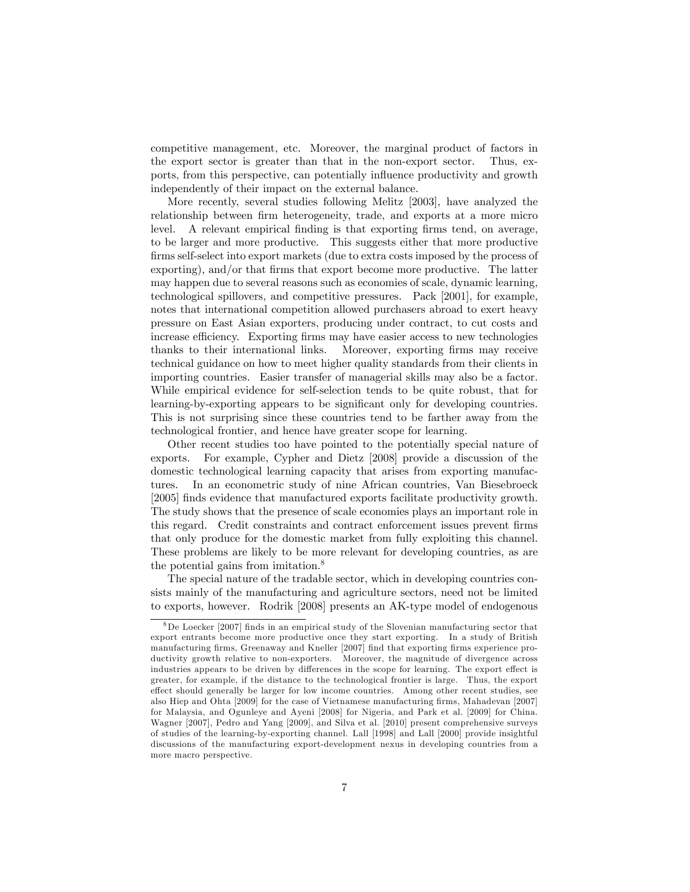competitive management, etc. Moreover, the marginal product of factors in the export sector is greater than that in the non-export sector. Thus, exports, from this perspective, can potentially influence productivity and growth independently of their impact on the external balance.

More recently, several studies following Melitz [2003], have analyzed the relationship between firm heterogeneity, trade, and exports at a more micro level. A relevant empirical finding is that exporting firms tend, on average, to be larger and more productive. This suggests either that more productive firms self-select into export markets (due to extra costs imposed by the process of exporting), and/or that firms that export become more productive. The latter may happen due to several reasons such as economies of scale, dynamic learning, technological spillovers, and competitive pressures. Pack [2001], for example, notes that international competition allowed purchasers abroad to exert heavy pressure on East Asian exporters, producing under contract, to cut costs and increase efficiency. Exporting firms may have easier access to new technologies thanks to their international links. Moreover, exporting firms may receive technical guidance on how to meet higher quality standards from their clients in importing countries. Easier transfer of managerial skills may also be a factor. While empirical evidence for self-selection tends to be quite robust, that for learning-by-exporting appears to be significant only for developing countries. This is not surprising since these countries tend to be farther away from the technological frontier, and hence have greater scope for learning.

Other recent studies too have pointed to the potentially special nature of exports. For example, Cypher and Dietz [2008] provide a discussion of the domestic technological learning capacity that arises from exporting manufactures. In an econometric study of nine African countries, Van Biesebroeck [2005] Önds evidence that manufactured exports facilitate productivity growth. The study shows that the presence of scale economies plays an important role in this regard. Credit constraints and contract enforcement issues prevent firms that only produce for the domestic market from fully exploiting this channel. These problems are likely to be more relevant for developing countries, as are the potential gains from imitation.<sup>8</sup>

The special nature of the tradable sector, which in developing countries consists mainly of the manufacturing and agriculture sectors, need not be limited to exports, however. Rodrik [2008] presents an AK-type model of endogenous

<sup>8</sup>De Loecker [2007] Önds in an empirical study of the Slovenian manufacturing sector that export entrants become more productive once they start exporting. In a study of British manufacturing firms, Greenaway and Kneller [2007] find that exporting firms experience productivity growth relative to non-exporters. Moreover, the magnitude of divergence across industries appears to be driven by differences in the scope for learning. The export effect is greater, for example, if the distance to the technological frontier is large. Thus, the export effect should generally be larger for low income countries. Among other recent studies, see also Hiep and Ohta [2009] for the case of Vietnamese manufacturing firms, Mahadevan [2007] for Malaysia, and Ogunleye and Ayeni [2008] for Nigeria, and Park et al. [2009] for China. Wagner [2007], Pedro and Yang [2009], and Silva et al. [2010] present comprehensive surveys of studies of the learning-by-exporting channel. Lall [1998] and Lall [2000] provide insightful discussions of the manufacturing export-development nexus in developing countries from a more macro perspective.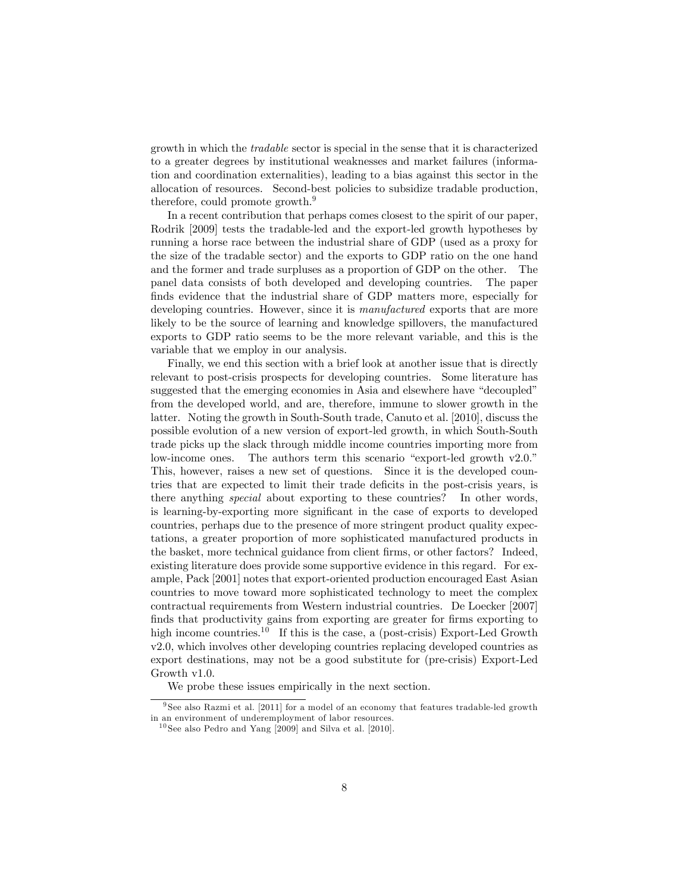growth in which the tradable sector is special in the sense that it is characterized to a greater degrees by institutional weaknesses and market failures (information and coordination externalities), leading to a bias against this sector in the allocation of resources. Second-best policies to subsidize tradable production, therefore, could promote growth.<sup>9</sup>

In a recent contribution that perhaps comes closest to the spirit of our paper, Rodrik [2009] tests the tradable-led and the export-led growth hypotheses by running a horse race between the industrial share of GDP (used as a proxy for the size of the tradable sector) and the exports to GDP ratio on the one hand and the former and trade surpluses as a proportion of GDP on the other. The panel data consists of both developed and developing countries. The paper finds evidence that the industrial share of GDP matters more, especially for developing countries. However, since it is *manufactured* exports that are more likely to be the source of learning and knowledge spillovers, the manufactured exports to GDP ratio seems to be the more relevant variable, and this is the variable that we employ in our analysis.

Finally, we end this section with a brief look at another issue that is directly relevant to post-crisis prospects for developing countries. Some literature has suggested that the emerging economies in Asia and elsewhere have "decoupled" from the developed world, and are, therefore, immune to slower growth in the latter. Noting the growth in South-South trade, Canuto et al. [2010], discuss the possible evolution of a new version of export-led growth, in which South-South trade picks up the slack through middle income countries importing more from low-income ones. The authors term this scenario "export-led growth  $v2.0$ ." This, however, raises a new set of questions. Since it is the developed countries that are expected to limit their trade deficits in the post-crisis years, is there anything special about exporting to these countries? In other words, is learning-by-exporting more significant in the case of exports to developed countries, perhaps due to the presence of more stringent product quality expectations, a greater proportion of more sophisticated manufactured products in the basket, more technical guidance from client firms, or other factors? Indeed, existing literature does provide some supportive evidence in this regard. For example, Pack [2001] notes that export-oriented production encouraged East Asian countries to move toward more sophisticated technology to meet the complex contractual requirements from Western industrial countries. De Loecker [2007] finds that productivity gains from exporting are greater for firms exporting to high income countries.<sup>10</sup> If this is the case, a (post-crisis) Export-Led Growth v2.0, which involves other developing countries replacing developed countries as export destinations, may not be a good substitute for (pre-crisis) Export-Led Growth v1.0.

We probe these issues empirically in the next section.

 $^{9}$  See also Razmi et al. [2011] for a model of an economy that features tradable-led growth in an environment of underemployment of labor resources.

 $10$  See also Pedro and Yang [2009] and Silva et al. [2010].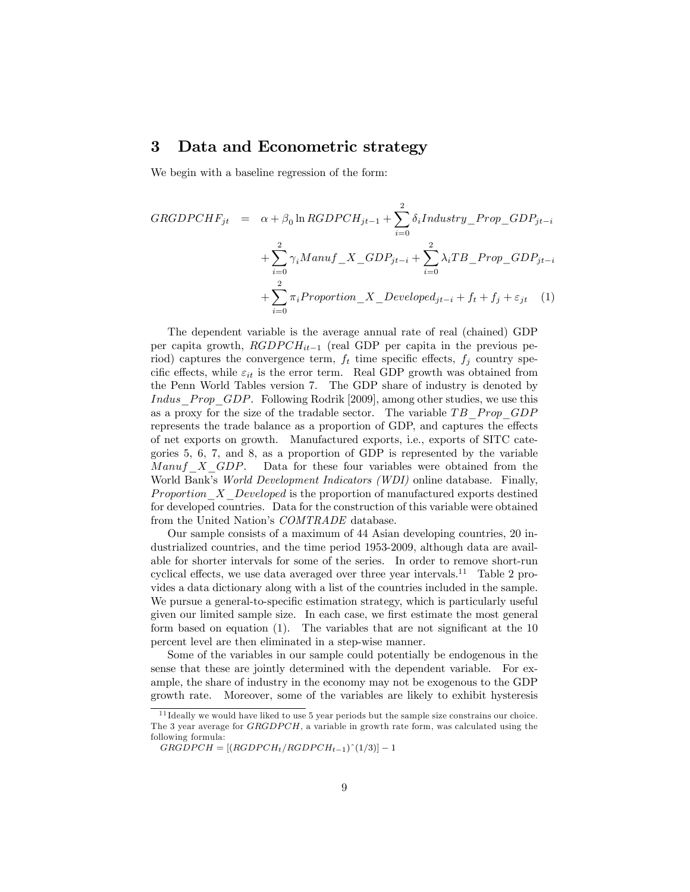#### 3 Data and Econometric strategy

We begin with a baseline regression of the form:

$$
GRGDPCHF_{jt} = \alpha + \beta_0 \ln RGDPCH_{jt-1} + \sum_{i=0}^{2} \delta_i Industry\_Prop\_GDP_{jt-i}
$$

$$
+ \sum_{i=0}^{2} \gamma_i Manuf\_X\_GDP_{jt-i} + \sum_{i=0}^{2} \lambda_i TB\_Prop\_GDP_{jt-i}
$$

$$
+ \sum_{i=0}^{2} \pi_i Proportion\_X\_Develop_{jt-i} + f_t + f_j + \varepsilon_{jt} \quad (1)
$$

The dependent variable is the average annual rate of real (chained) GDP per capita growth,  $RGDPCH_{it-1}$  (real GDP per capita in the previous period) captures the convergence term,  $f_t$  time specific effects,  $f_j$  country specific effects, while  $\varepsilon_{it}$  is the error term. Real GDP growth was obtained from the Penn World Tables version 7. The GDP share of industry is denoted by Indus Prop GDP. Following Rodrik [2009], among other studies, we use this as a proxy for the size of the tradable sector. The variable  $TB$  Prop GDP represents the trade balance as a proportion of GDP, and captures the effects of net exports on growth. Manufactured exports, i.e., exports of SITC categories 5, 6, 7, and 8, as a proportion of GDP is represented by the variable Manuf  $X$  GDP. Data for these four variables were obtained from the World Bank's World Development Indicators (WDI) online database. Finally, Proportion<sub>X</sub> Developed is the proportion of manufactured exports destined for developed countries. Data for the construction of this variable were obtained from the United Nation's COMTRADE database.

Our sample consists of a maximum of 44 Asian developing countries, 20 industrialized countries, and the time period 1953-2009, although data are available for shorter intervals for some of the series. In order to remove short-run cyclical effects, we use data averaged over three year intervals.<sup>11</sup> Table 2 provides a data dictionary along with a list of the countries included in the sample. We pursue a general-to-specific estimation strategy, which is particularly useful given our limited sample size. In each case, we first estimate the most general form based on equation  $(1)$ . The variables that are not significant at the 10 percent level are then eliminated in a step-wise manner.

Some of the variables in our sample could potentially be endogenous in the sense that these are jointly determined with the dependent variable. For example, the share of industry in the economy may not be exogenous to the GDP growth rate. Moreover, some of the variables are likely to exhibit hysteresis

<sup>&</sup>lt;sup>11</sup> Ideally we would have liked to use 5 year periods but the sample size constrains our choice. The 3 year average for  $GRGDPCH$ , a variable in growth rate form, was calculated using the following formula:

 $GRGDPCH = [(RGDPCH_t/RGDPCH_{t-1})^(1/3)] - 1$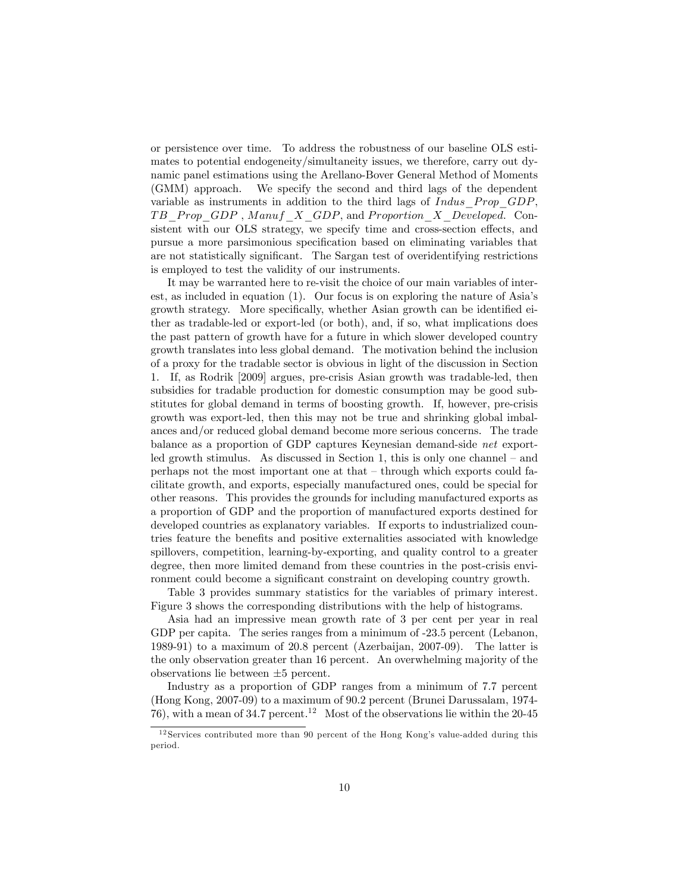or persistence over time. To address the robustness of our baseline OLS estimates to potential endogeneity/simultaneity issues, we therefore, carry out dynamic panel estimations using the Arellano-Bover General Method of Moments (GMM) approach. We specify the second and third lags of the dependent variable as instruments in addition to the third lags of  $Indus\; Prop\; GDP,$ TB Prop GDP, Manuf X GDP, and Proportion X Developed. Consistent with our OLS strategy, we specify time and cross-section effects, and pursue a more parsimonious specification based on eliminating variables that are not statistically significant. The Sargan test of overidentifying restrictions is employed to test the validity of our instruments.

It may be warranted here to re-visit the choice of our main variables of interest, as included in equation  $(1)$ . Our focus is on exploring the nature of Asia's growth strategy. More specifically, whether Asian growth can be identified either as tradable-led or export-led (or both), and, if so, what implications does the past pattern of growth have for a future in which slower developed country growth translates into less global demand. The motivation behind the inclusion of a proxy for the tradable sector is obvious in light of the discussion in Section 1. If, as Rodrik [2009] argues, pre-crisis Asian growth was tradable-led, then subsidies for tradable production for domestic consumption may be good substitutes for global demand in terms of boosting growth. If, however, pre-crisis growth was export-led, then this may not be true and shrinking global imbalances and/or reduced global demand become more serious concerns. The trade balance as a proportion of GDP captures Keynesian demand-side net exportled growth stimulus. As discussed in Section 1, this is only one channel  $-$  and perhaps not the most important one at that  $-$  through which exports could facilitate growth, and exports, especially manufactured ones, could be special for other reasons. This provides the grounds for including manufactured exports as a proportion of GDP and the proportion of manufactured exports destined for developed countries as explanatory variables. If exports to industrialized countries feature the benefits and positive externalities associated with knowledge spillovers, competition, learning-by-exporting, and quality control to a greater degree, then more limited demand from these countries in the post-crisis environment could become a significant constraint on developing country growth.

Table 3 provides summary statistics for the variables of primary interest. Figure 3 shows the corresponding distributions with the help of histograms.

Asia had an impressive mean growth rate of 3 per cent per year in real GDP per capita. The series ranges from a minimum of  $-23.5$  percent (Lebanon, 1989-91) to a maximum of 20.8 percent (Azerbaijan, 2007-09). The latter is the only observation greater than 16 percent. An overwhelming majority of the observations lie between  $\pm 5$  percent.

Industry as a proportion of GDP ranges from a minimum of 7.7 percent (Hong Kong, 2007-09) to a maximum of 90.2 percent (Brunei Darussalam, 1974- 76), with a mean of  $34.7$  percent.<sup>12</sup> Most of the observations lie within the 20-45

 $12$  Services contributed more than 90 percent of the Hong Kong's value-added during this period.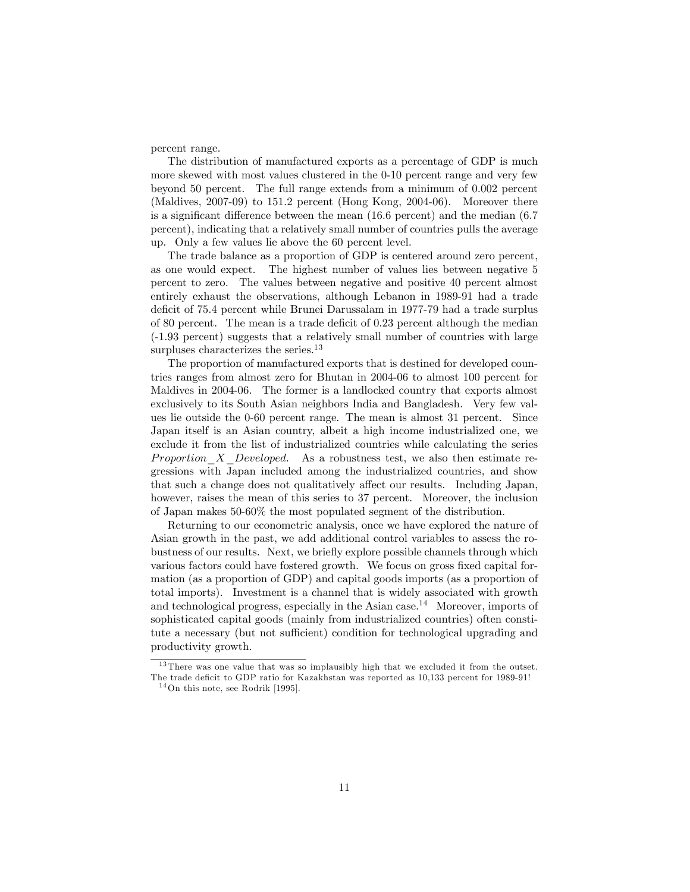percent range.

The distribution of manufactured exports as a percentage of GDP is much more skewed with most values clustered in the 0-10 percent range and very few beyond 50 percent. The full range extends from a minimum of 0.002 percent (Maldives, 2007-09) to 151.2 percent (Hong Kong, 2004-06). Moreover there is a significant difference between the mean  $(16.6 \text{ percent})$  and the median  $(6.7 \text{$ percent), indicating that a relatively small number of countries pulls the average up. Only a few values lie above the 60 percent level.

The trade balance as a proportion of GDP is centered around zero percent, as one would expect. The highest number of values lies between negative 5 percent to zero. The values between negative and positive 40 percent almost entirely exhaust the observations, although Lebanon in 1989-91 had a trade deficit of 75.4 percent while Brunei Darussalam in 1977-79 had a trade surplus of 80 percent. The mean is a trade deficit of  $0.23$  percent although the median (-1.93 percent) suggests that a relatively small number of countries with large surpluses characterizes the series.<sup>13</sup>

The proportion of manufactured exports that is destined for developed countries ranges from almost zero for Bhutan in 2004-06 to almost 100 percent for Maldives in 2004-06. The former is a landlocked country that exports almost exclusively to its South Asian neighbors India and Bangladesh. Very few values lie outside the 0-60 percent range. The mean is almost 31 percent. Since Japan itself is an Asian country, albeit a high income industrialized one, we exclude it from the list of industrialized countries while calculating the series Proportion  $X$  Developed. As a robustness test, we also then estimate regressions with Japan included among the industrialized countries, and show that such a change does not qualitatively affect our results. Including Japan, however, raises the mean of this series to 37 percent. Moreover, the inclusion of Japan makes 50-60% the most populated segment of the distribution.

Returning to our econometric analysis, once we have explored the nature of Asian growth in the past, we add additional control variables to assess the robustness of our results. Next, we brieáy explore possible channels through which various factors could have fostered growth. We focus on gross fixed capital formation (as a proportion of GDP) and capital goods imports (as a proportion of total imports). Investment is a channel that is widely associated with growth and technological progress, especially in the Asian case.<sup>14</sup> Moreover, imports of sophisticated capital goods (mainly from industrialized countries) often constitute a necessary (but not sufficient) condition for technological upgrading and productivity growth.

<sup>&</sup>lt;sup>13</sup> There was one value that was so implausibly high that we excluded it from the outset. The trade deficit to GDP ratio for Kazakhstan was reported as  $10.133$  percent for 1989-91!

 $14$ On this note, see Rodrik [1995].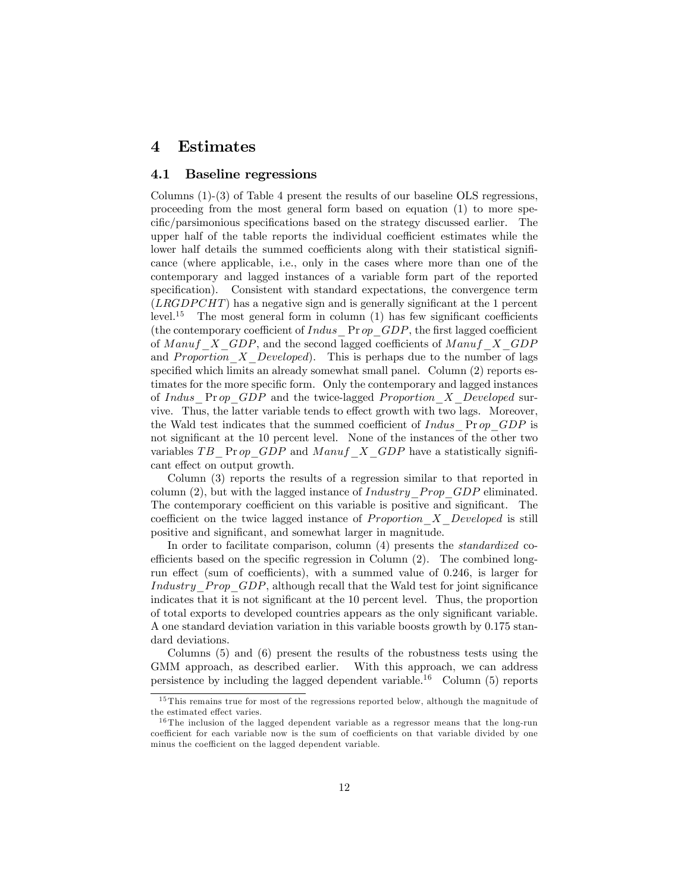#### 4 Estimates

#### 4.1 Baseline regressions

Columns (1)-(3) of Table 4 present the results of our baseline OLS regressions, proceeding from the most general form based on equation (1) to more specific/parsimonious specifications based on the strategy discussed earlier. The upper half of the table reports the individual coefficient estimates while the lower half details the summed coefficients along with their statistical significance (where applicable, i.e., only in the cases where more than one of the contemporary and lagged instances of a variable form part of the reported specification). Consistent with standard expectations, the convergence term  $(LRGDPCHT)$  has a negative sign and is generally significant at the 1 percent level.<sup>15</sup> The most general form in column  $(1)$  has few significant coefficients (the contemporary coefficient of  $Indus$  Pr op  $GDP$ , the first lagged coefficient of Manuf  $X$  GDP, and the second lagged coefficients of Manuf  $X$  GDP and *Proportion*  $X$  *Developed*). This is perhaps due to the number of lags specified which limits an already somewhat small panel. Column  $(2)$  reports estimates for the more specific form. Only the contemporary and lagged instances of Indus  $\Pr op$  GDP and the twice-lagged Proportion X Developed survive. Thus, the latter variable tends to effect growth with two lags. Moreover, the Wald test indicates that the summed coefficient of  $Indus$  Pr op GDP is not significant at the 10 percent level. None of the instances of the other two variables TB Pr op GDP and M anuf  $X$  GDP have a statistically significant effect on output growth.

Column (3) reports the results of a regression similar to that reported in column  $(2)$ , but with the lagged instance of *Industry* Prop GDP eliminated. The contemporary coefficient on this variable is positive and significant. The coefficient on the twice lagged instance of *Proportion*  $X$  Developed is still positive and significant, and somewhat larger in magnitude.

In order to facilitate comparison, column (4) presents the *standardized* coefficients based on the specific regression in Column  $(2)$ . The combined longrun effect (sum of coefficients), with a summed value of  $0.246$ , is larger for Industry  $Prop$  GDP, although recall that the Wald test for joint significance indicates that it is not significant at the 10 percent level. Thus, the proportion of total exports to developed countries appears as the only significant variable. A one standard deviation variation in this variable boosts growth by 0.175 standard deviations.

Columns (5) and (6) present the results of the robustness tests using the GMM approach, as described earlier. With this approach, we can address persistence by including the lagged dependent variable.<sup>16</sup> Column  $(5)$  reports

<sup>&</sup>lt;sup>15</sup> This remains true for most of the regressions reported below, although the magnitude of the estimated effect varies.

 $16$  The inclusion of the lagged dependent variable as a regressor means that the long-run coefficient for each variable now is the sum of coefficients on that variable divided by one minus the coefficient on the lagged dependent variable.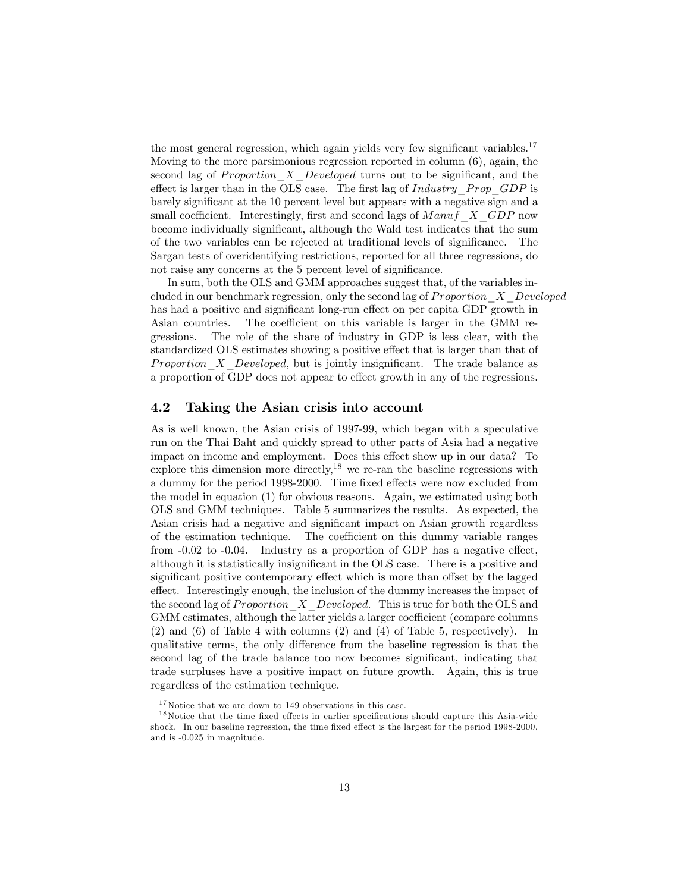the most general regression, which again yields very few significant variables.<sup>17</sup> Moving to the more parsimonious regression reported in column (6), again, the second lag of Proportion  $X$  Developed turns out to be significant, and the effect is larger than in the OLS case. The first lag of  $Industry$  Prop GDP is barely signiÖcant at the 10 percent level but appears with a negative sign and a small coefficient. Interestingly, first and second lags of  $M$  anuf  $\overline{X}$  GDP now become individually significant, although the Wald test indicates that the sum of the two variables can be rejected at traditional levels of significance. The Sargan tests of overidentifying restrictions, reported for all three regressions, do not raise any concerns at the 5 percent level of significance.

In sum, both the OLS and GMM approaches suggest that, of the variables included in our benchmark regression, only the second lag of  $Proportion\ X\ Developed$ has had a positive and significant long-run effect on per capita GDP growth in Asian countries. The coefficient on this variable is larger in the GMM regressions. The role of the share of industry in GDP is less clear, with the standardized OLS estimates showing a positive effect that is larger than that of Proportion  $X$  Developed, but is jointly insignificant. The trade balance as a proportion of GDP does not appear to effect growth in any of the regressions.

#### 4.2 Taking the Asian crisis into account

As is well known, the Asian crisis of 1997-99, which began with a speculative run on the Thai Baht and quickly spread to other parts of Asia had a negative impact on income and employment. Does this effect show up in our data? To explore this dimension more directly,<sup>18</sup> we re-ran the baseline regressions with a dummy for the period 1998-2000. Time fixed effects were now excluded from the model in equation (1) for obvious reasons. Again, we estimated using both OLS and GMM techniques. Table 5 summarizes the results. As expected, the Asian crisis had a negative and significant impact on Asian growth regardless of the estimation technique. The coefficient on this dummy variable ranges from  $-0.02$  to  $-0.04$ . Industry as a proportion of GDP has a negative effect, although it is statistically insignificant in the OLS case. There is a positive and significant positive contemporary effect which is more than offset by the lagged effect. Interestingly enough, the inclusion of the dummy increases the impact of the second lag of *Proportion*  $\overline{X}$  Developed. This is true for both the OLS and GMM estimates, although the latter yields a larger coefficient (compare columns (2) and (6) of Table 4 with columns (2) and (4) of Table 5, respectively). In qualitative terms, the only difference from the baseline regression is that the second lag of the trade balance too now becomes significant, indicating that trade surpluses have a positive impact on future growth. Again, this is true regardless of the estimation technique.

 $^{17}\rm{Notice}$  that we are down to 149 observations in this case.

 $1<sup>8</sup>$  Notice that the time fixed effects in earlier specifications should capture this Asia-wide shock. In our baseline regression, the time fixed effect is the largest for the period 1998-2000, and is -0.025 in magnitude.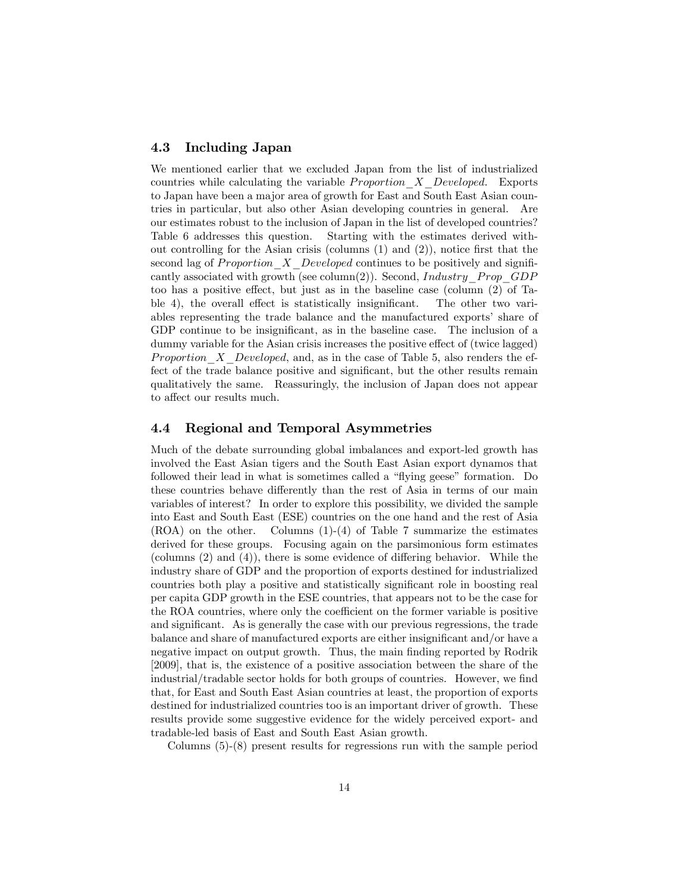#### 4.3 Including Japan

We mentioned earlier that we excluded Japan from the list of industrialized countries while calculating the variable  $Proportion X\_Developed.$  Exports to Japan have been a major area of growth for East and South East Asian countries in particular, but also other Asian developing countries in general. Are our estimates robust to the inclusion of Japan in the list of developed countries? Table 6 addresses this question. Starting with the estimates derived without controlling for the Asian crisis (columns  $(1)$  and  $(2)$ ), notice first that the second lag of Proportion  $X$  Developed continues to be positively and significantly associated with growth (see column(2)). Second, Industry Prop  $GDP$ too has a positive effect, but just as in the baseline case (column  $(2)$ ) of Table 4), the overall effect is statistically insignificant. The other two variables representing the trade balance and the manufactured exports' share of GDP continue to be insignificant, as in the baseline case. The inclusion of a dummy variable for the Asian crisis increases the positive effect of (twice lagged) *Proportion* X Developed, and, as in the case of Table 5, also renders the effect of the trade balance positive and significant, but the other results remain qualitatively the same. Reassuringly, the inclusion of Japan does not appear to affect our results much.

#### 4.4 Regional and Temporal Asymmetries

Much of the debate surrounding global imbalances and export-led growth has involved the East Asian tigers and the South East Asian export dynamos that followed their lead in what is sometimes called a "flying geese" formation. Do these countries behave differently than the rest of Asia in terms of our main variables of interest? In order to explore this possibility, we divided the sample into East and South East (ESE) countries on the one hand and the rest of Asia  $(ROA)$  on the other. Columns  $(1)-(4)$  of Table 7 summarize the estimates derived for these groups. Focusing again on the parsimonious form estimates (columns  $(2)$  and  $(4)$ ), there is some evidence of differing behavior. While the industry share of GDP and the proportion of exports destined for industrialized countries both play a positive and statistically significant role in boosting real per capita GDP growth in the ESE countries, that appears not to be the case for the ROA countries, where only the coefficient on the former variable is positive and significant. As is generally the case with our previous regressions, the trade balance and share of manufactured exports are either insignificant and/or have a negative impact on output growth. Thus, the main finding reported by Rodrik [2009], that is, the existence of a positive association between the share of the industrial/tradable sector holds for both groups of countries. However, we find that, for East and South East Asian countries at least, the proportion of exports destined for industrialized countries too is an important driver of growth. These results provide some suggestive evidence for the widely perceived export- and tradable-led basis of East and South East Asian growth.

Columns (5)-(8) present results for regressions run with the sample period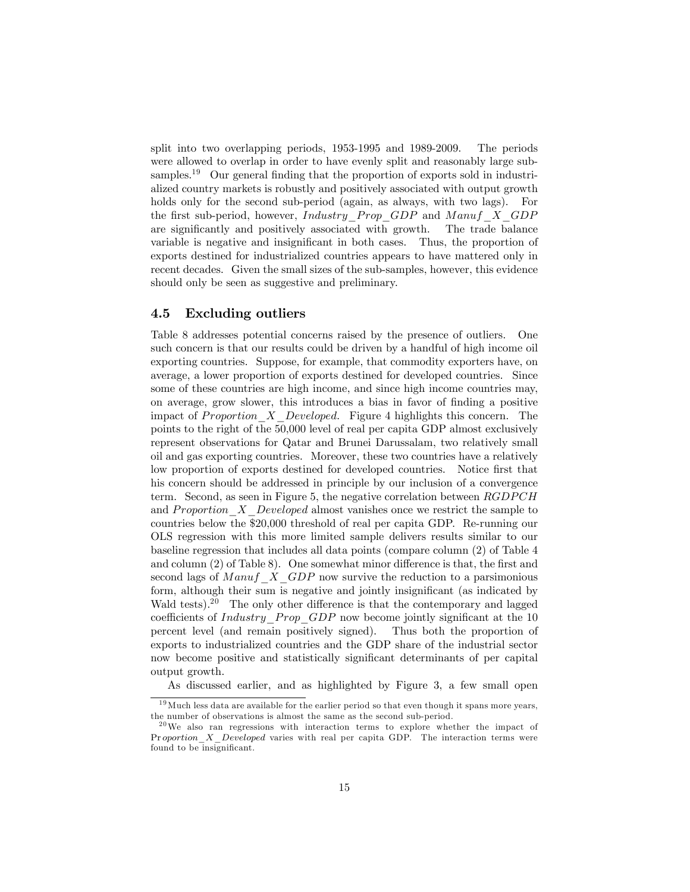split into two overlapping periods, 1953-1995 and 1989-2009. The periods were allowed to overlap in order to have evenly split and reasonably large subsamples.<sup>19</sup> Our general finding that the proportion of exports sold in industrialized country markets is robustly and positively associated with output growth holds only for the second sub-period (again, as always, with two lags). For the first sub-period, however, Industry Prop  $GDP$  and M anuf  $X$   $GDP$ are significantly and positively associated with growth. The trade balance variable is negative and insignificant in both cases. Thus, the proportion of exports destined for industrialized countries appears to have mattered only in recent decades. Given the small sizes of the sub-samples, however, this evidence should only be seen as suggestive and preliminary.

#### 4.5 Excluding outliers

Table 8 addresses potential concerns raised by the presence of outliers. One such concern is that our results could be driven by a handful of high income oil exporting countries. Suppose, for example, that commodity exporters have, on average, a lower proportion of exports destined for developed countries. Since some of these countries are high income, and since high income countries may, on average, grow slower, this introduces a bias in favor of finding a positive impact of Proportion  $X$  Developed. Figure 4 highlights this concern. The points to the right of the 50,000 level of real per capita GDP almost exclusively represent observations for Qatar and Brunei Darussalam, two relatively small oil and gas exporting countries. Moreover, these two countries have a relatively low proportion of exports destined for developed countries. Notice first that his concern should be addressed in principle by our inclusion of a convergence term. Second, as seen in Figure 5, the negative correlation between  $RGDPCH$ and Proportion  $X$  Developed almost vanishes once we restrict the sample to countries below the \$20,000 threshold of real per capita GDP. Re-running our OLS regression with this more limited sample delivers results similar to our baseline regression that includes all data points (compare column (2) of Table 4 and column  $(2)$  of Table 8). One somewhat minor difference is that, the first and second lags of  $M$ anuf  $X$  GDP now survive the reduction to a parsimonious form, although their sum is negative and jointly insignificant (as indicated by Wald tests).<sup>20</sup> The only other difference is that the contemporary and lagged coefficients of *Industry*  $Prop$   $GDP$  now become jointly significant at the 10 percent level (and remain positively signed). Thus both the proportion of exports to industrialized countries and the GDP share of the industrial sector now become positive and statistically significant determinants of per capital output growth.

As discussed earlier, and as highlighted by Figure 3, a few small open

 $19$  Much less data are available for the earlier period so that even though it spans more years, the number of observations is almost the same as the second sub-period.

 $20$ We also ran regressions with interaction terms to explore whether the impact of Pr oportion\_X\_Developed varies with real per capita GDP. The interaction terms were found to be insignificant.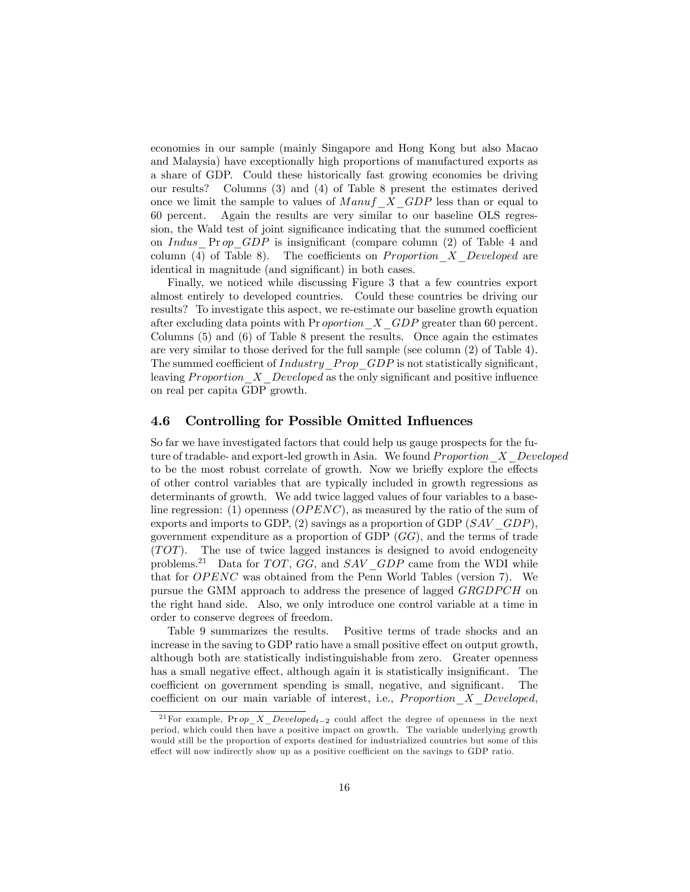economies in our sample (mainly Singapore and Hong Kong but also Macao and Malaysia) have exceptionally high proportions of manufactured exports as a share of GDP. Could these historically fast growing economies be driving our results? Columns (3) and (4) of Table 8 present the estimates derived once we limit the sample to values of  $Mannf\_X\_GDP$  less than or equal to 60 percent. Again the results are very similar to our baseline OLS regression, the Wald test of joint significance indicating that the summed coefficient on Indus  $\Pr op$  GDP is insignificant (compare column (2) of Table 4 and column (4) of Table 8). The coefficients on *Proportion*  $X$  Developed are identical in magnitude (and significant) in both cases.

Finally, we noticed while discussing Figure 3 that a few countries export almost entirely to developed countries. Could these countries be driving our results? To investigate this aspect, we re-estimate our baseline growth equation after excluding data points with Pr *oportion*  $\overline{X}$  GDP greater than 60 percent. Columns (5) and (6) of Table 8 present the results. Once again the estimates are very similar to those derived for the full sample (see column (2) of Table 4). The summed coefficient of  $Industry$  Prop\_GDP is not statistically significant, leaving Proportion  $X$  Developed as the only significant and positive influence on real per capita GDP growth.

#### 4.6 Controlling for Possible Omitted Influences

So far we have investigated factors that could help us gauge prospects for the future of tradable- and export-led growth in Asia. We found *Proportion*  $X$  Developed to be the most robust correlate of growth. Now we briefly explore the effects of other control variables that are typically included in growth regressions as determinants of growth. We add twice lagged values of four variables to a baseline regression: (1) openness  $(OPENC)$ , as measured by the ratio of the sum of exports and imports to GDP,  $(2)$  savings as a proportion of GDP  $(SAV \quad GDP)$ , government expenditure as a proportion of GDP  $(GG)$ , and the terms of trade  $(TOT)$ . The use of twice lagged instances is designed to avoid endogeneity problems.<sup>21</sup> Data for  $TOT, GG$ , and  $SAV$   $GDP$  came from the WDI while that for *OPENC* was obtained from the Penn World Tables (version 7). We pursue the GMM approach to address the presence of lagged *GRGDPCH* on the right hand side. Also, we only introduce one control variable at a time in order to conserve degrees of freedom.

Table 9 summarizes the results. Positive terms of trade shocks and an increase in the saving to GDP ratio have a small positive effect on output growth, although both are statistically indistinguishable from zero. Greater openness has a small negative effect, although again it is statistically insignificant. The coefficient on government spending is small, negative, and significant. The coefficient on our main variable of interest, i.e., *Proportion*  $X$  Developed,

<sup>&</sup>lt;sup>21</sup> For example, Pr op\_X\_Developed<sub>t-2</sub> could affect the degree of openness in the next period, which could then have a positive impact on growth. The variable underlying growth would still be the proportion of exports destined for industrialized countries but some of this effect will now indirectly show up as a positive coefficient on the savings to GDP ratio.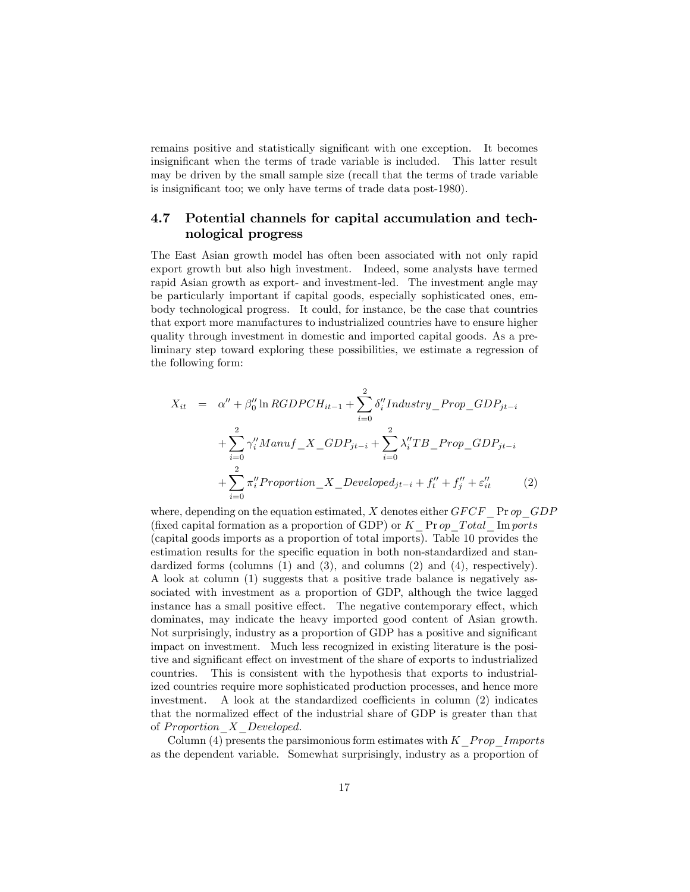remains positive and statistically significant with one exception. It becomes insignificant when the terms of trade variable is included. This latter result may be driven by the small sample size (recall that the terms of trade variable is insignificant too; we only have terms of trade data post-1980).

#### 4.7 Potential channels for capital accumulation and technological progress

The East Asian growth model has often been associated with not only rapid export growth but also high investment. Indeed, some analysts have termed rapid Asian growth as export- and investment-led. The investment angle may be particularly important if capital goods, especially sophisticated ones, embody technological progress. It could, for instance, be the case that countries that export more manufactures to industrialized countries have to ensure higher quality through investment in domestic and imported capital goods. As a preliminary step toward exploring these possibilities, we estimate a regression of the following form:

$$
X_{it} = \alpha'' + \beta''_0 \ln RGDPCH_{it-1} + \sum_{i=0}^{2} \delta''_i Industry\_Prop\_GDP_{jt-i}
$$
  
+ 
$$
\sum_{i=0}^{2} \gamma''_i Manuf\_X\_GDP_{jt-i} + \sum_{i=0}^{2} \lambda''_i TB\_Prop\_GDP_{jt-i}
$$
  
+ 
$$
\sum_{i=0}^{2} \pi''_i Proportion\_X\_Develop_{jt-i} + f''_t + f''_j + \varepsilon''_{it}
$$
 (2)

where, depending on the equation estimated, X denotes either  $GFCF$  Pr op  $GDP$ (fixed capital formation as a proportion of GDP) or  $K$  Pr op Total Im ports (capital goods imports as a proportion of total imports). Table 10 provides the estimation results for the specific equation in both non-standardized and standardized forms (columns  $(1)$  and  $(3)$ , and columns  $(2)$  and  $(4)$ , respectively). A look at column (1) suggests that a positive trade balance is negatively associated with investment as a proportion of GDP, although the twice lagged instance has a small positive effect. The negative contemporary effect, which dominates, may indicate the heavy imported good content of Asian growth. Not surprisingly, industry as a proportion of GDP has a positive and significant impact on investment. Much less recognized in existing literature is the positive and significant effect on investment of the share of exports to industrialized countries. This is consistent with the hypothesis that exports to industrialized countries require more sophisticated production processes, and hence more investment. A look at the standardized coefficients in column  $(2)$  indicates that the normalized effect of the industrial share of GDP is greater than that of Proportion  $X$  Developed.

Column (4) presents the parsimonious form estimates with  $K$  Prop\_Imports as the dependent variable. Somewhat surprisingly, industry as a proportion of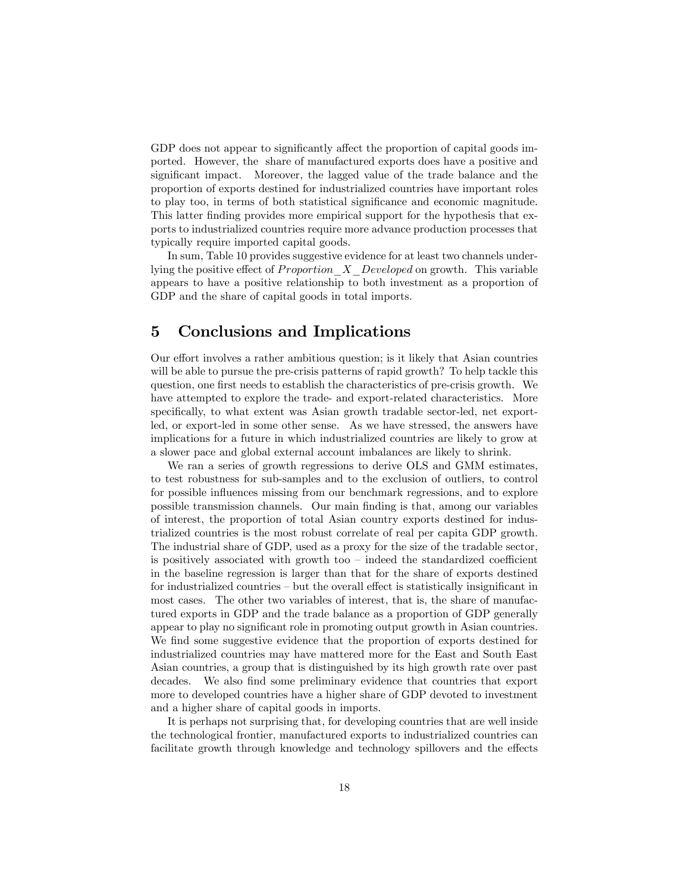GDP does not appear to significantly affect the proportion of capital goods imported. However, the share of manufactured exports does have a positive and significant impact. Moreover, the lagged value of the trade balance and the proportion of exports destined for industrialized countries have important roles to play too, in terms of both statistical significance and economic magnitude. This latter finding provides more empirical support for the hypothesis that exports to industrialized countries require more advance production processes that typically require imported capital goods.

In sum, Table 10 provides suggestive evidence for at least two channels underlying the positive effect of *Proportion*  $X$  Developed on growth. This variable appears to have a positive relationship to both investment as a proportion of GDP and the share of capital goods in total imports.

#### 5 Conclusions and Implications

Our effort involves a rather ambitious question; is it likely that Asian countries will be able to pursue the pre-crisis patterns of rapid growth? To help tackle this question, one first needs to establish the characteristics of pre-crisis growth. We have attempted to explore the trade- and export-related characteristics. More specifically, to what extent was Asian growth tradable sector-led, net exportled, or export-led in some other sense. As we have stressed, the answers have implications for a future in which industrialized countries are likely to grow at a slower pace and global external account imbalances are likely to shrink.

We ran a series of growth regressions to derive OLS and GMM estimates, to test robustness for sub-samples and to the exclusion of outliers, to control for possible influences missing from our benchmark regressions, and to explore possible transmission channels. Our main Önding is that, among our variables of interest, the proportion of total Asian country exports destined for industrialized countries is the most robust correlate of real per capita GDP growth. The industrial share of GDP, used as a proxy for the size of the tradable sector, is positively associated with growth too  $\overline{\phantom{a}}$  indeed the standardized coefficient in the baseline regression is larger than that for the share of exports destined for industrialized countries  $-$  but the overall effect is statistically insignificant in most cases. The other two variables of interest, that is, the share of manufactured exports in GDP and the trade balance as a proportion of GDP generally appear to play no significant role in promoting output growth in Asian countries. We find some suggestive evidence that the proportion of exports destined for industrialized countries may have mattered more for the East and South East Asian countries, a group that is distinguished by its high growth rate over past decades. We also find some preliminary evidence that countries that export more to developed countries have a higher share of GDP devoted to investment and a higher share of capital goods in imports.

It is perhaps not surprising that, for developing countries that are well inside the technological frontier, manufactured exports to industrialized countries can facilitate growth through knowledge and technology spillovers and the effects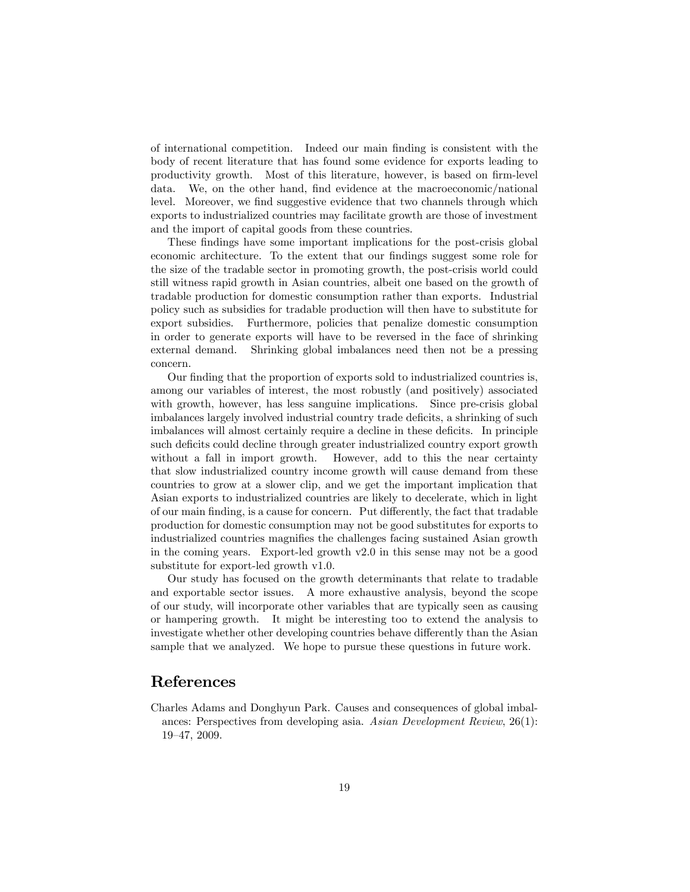of international competition. Indeed our main Önding is consistent with the body of recent literature that has found some evidence for exports leading to productivity growth. Most of this literature, however, is based on firm-level data. We, on the other hand, find evidence at the macroeconomic/national level. Moreover, we find suggestive evidence that two channels through which exports to industrialized countries may facilitate growth are those of investment and the import of capital goods from these countries.

These findings have some important implications for the post-crisis global economic architecture. To the extent that our findings suggest some role for the size of the tradable sector in promoting growth, the post-crisis world could still witness rapid growth in Asian countries, albeit one based on the growth of tradable production for domestic consumption rather than exports. Industrial policy such as subsidies for tradable production will then have to substitute for export subsidies. Furthermore, policies that penalize domestic consumption in order to generate exports will have to be reversed in the face of shrinking external demand. Shrinking global imbalances need then not be a pressing concern.

Our finding that the proportion of exports sold to industrialized countries is, among our variables of interest, the most robustly (and positively) associated with growth, however, has less sanguine implications. Since pre-crisis global imbalances largely involved industrial country trade deficits, a shrinking of such imbalances will almost certainly require a decline in these deficits. In principle such deficits could decline through greater industrialized country export growth without a fall in import growth. However, add to this the near certainty that slow industrialized country income growth will cause demand from these countries to grow at a slower clip, and we get the important implication that Asian exports to industrialized countries are likely to decelerate, which in light of our main finding, is a cause for concern. Put differently, the fact that tradable production for domestic consumption may not be good substitutes for exports to industrialized countries magnifies the challenges facing sustained Asian growth in the coming years. Export-led growth v2.0 in this sense may not be a good substitute for export-led growth v1.0.

Our study has focused on the growth determinants that relate to tradable and exportable sector issues. A more exhaustive analysis, beyond the scope of our study, will incorporate other variables that are typically seen as causing or hampering growth. It might be interesting too to extend the analysis to investigate whether other developing countries behave differently than the Asian sample that we analyzed. We hope to pursue these questions in future work.

#### References

Charles Adams and Donghyun Park. Causes and consequences of global imbalances: Perspectives from developing asia. Asian Development Review, 26(1): 19-47, 2009.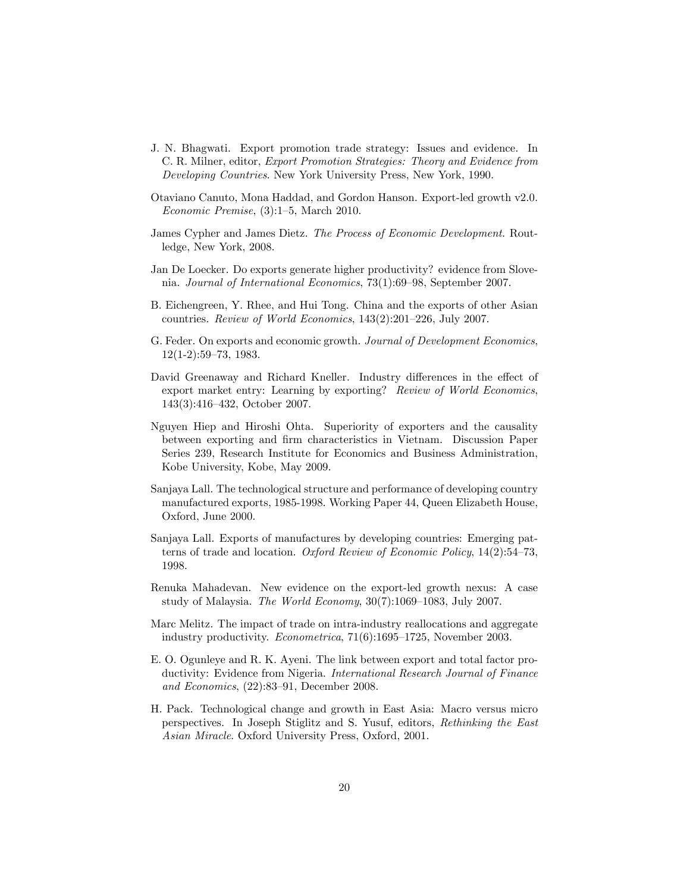- J. N. Bhagwati. Export promotion trade strategy: Issues and evidence. In C. R. Milner, editor, Export Promotion Strategies: Theory and Evidence from Developing Countries. New York University Press, New York, 1990.
- Otaviano Canuto, Mona Haddad, and Gordon Hanson. Export-led growth v2.0. Economic Premise,  $(3):1-5$ , March 2010.
- James Cypher and James Dietz. The Process of Economic Development. Routledge, New York, 2008.
- Jan De Loecker. Do exports generate higher productivity? evidence from Slovenia. Journal of International Economics,  $73(1):69-98$ , September 2007.
- B. Eichengreen, Y. Rhee, and Hui Tong. China and the exports of other Asian countries. Review of World Economics,  $143(2):201-226$ , July 2007.
- G. Feder. On exports and economic growth. Journal of Development Economics,  $12(1-2):59-73, 1983.$
- David Greenaway and Richard Kneller. Industry differences in the effect of export market entry: Learning by exporting? Review of World Economics,  $143(3):416-432$ , October 2007.
- Nguyen Hiep and Hiroshi Ohta. Superiority of exporters and the causality between exporting and Örm characteristics in Vietnam. Discussion Paper Series 239, Research Institute for Economics and Business Administration, Kobe University, Kobe, May 2009.
- Sanjaya Lall. The technological structure and performance of developing country manufactured exports, 1985-1998. Working Paper 44, Queen Elizabeth House, Oxford, June 2000.
- Sanjaya Lall. Exports of manufactures by developing countries: Emerging patterns of trade and location. Oxford Review of Economic Policy,  $14(2):54-73$ , 1998.
- Renuka Mahadevan. New evidence on the export-led growth nexus: A case study of Malaysia. The World Economy,  $30(7):1069-1083$ , July 2007.
- Marc Melitz. The impact of trade on intra-industry reallocations and aggregate industry productivity.  $Econometrica$ ,  $71(6):1695-1725$ , November 2003.
- E. O. Ogunleye and R. K. Ayeni. The link between export and total factor productivity: Evidence from Nigeria. International Research Journal of Finance and Economics,  $(22):83-91$ , December 2008.
- H. Pack. Technological change and growth in East Asia: Macro versus micro perspectives. In Joseph Stiglitz and S. Yusuf, editors, Rethinking the East Asian Miracle. Oxford University Press, Oxford, 2001.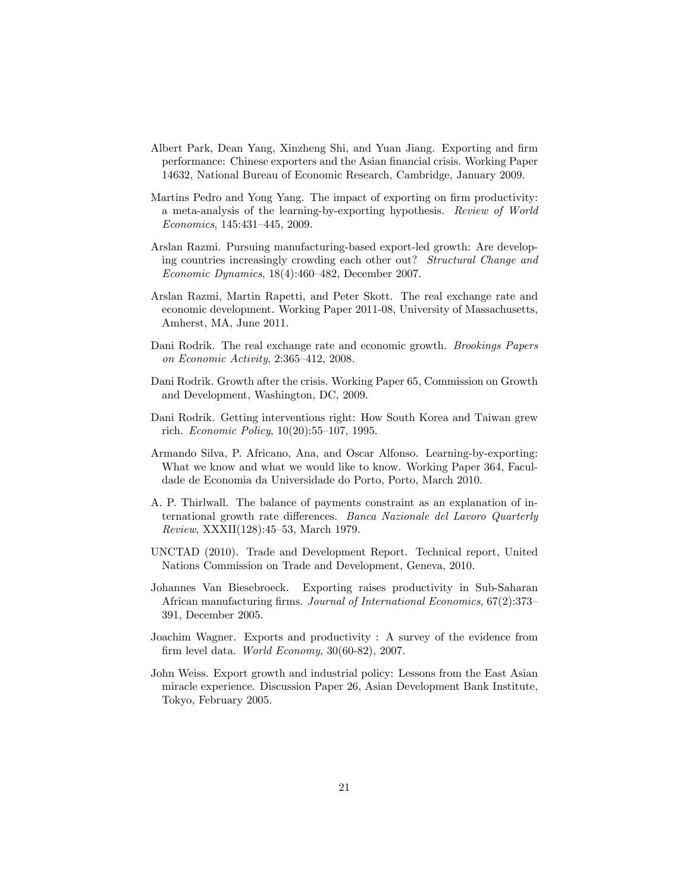- Albert Park, Dean Yang, Xinzheng Shi, and Yuan Jiang. Exporting and firm performance: Chinese exporters and the Asian financial crisis. Working Paper 14632, National Bureau of Economic Research, Cambridge, January 2009.
- Martins Pedro and Yong Yang. The impact of exporting on firm productivity: a meta-analysis of the learning-by-exporting hypothesis. Review of World Economics, 145:431-445, 2009.
- Arslan Razmi. Pursuing manufacturing-based export-led growth: Are developing countries increasingly crowding each other out? Structural Change and  $Economic Dynamics, 18(4):460–482, December 2007.$
- Arslan Razmi, Martin Rapetti, and Peter Skott. The real exchange rate and economic development. Working Paper 2011-08, University of Massachusetts, Amherst, MA, June 2011.
- Dani Rodrik. The real exchange rate and economic growth. Brookings Papers on Economic Activity,  $2:365-412$ ,  $2008$ .
- Dani Rodrik. Growth after the crisis. Working Paper 65, Commission on Growth and Development, Washington, DC, 2009.
- Dani Rodrik. Getting interventions right: How South Korea and Taiwan grew rich. *Economic Policy*,  $10(20):55-107$ , 1995.
- Armando Silva, P. Africano, Ana, and Oscar Alfonso. Learning-by-exporting: What we know and what we would like to know. Working Paper 364, Faculdade de Economia da Universidade do Porto, Porto, March 2010.
- A. P. Thirlwall. The balance of payments constraint as an explanation of international growth rate differences. Banca Nazionale del Lavoro Quarterly  $Review, XXXII(128):45–53, March 1979.$
- UNCTAD (2010). Trade and Development Report. Technical report, United Nations Commission on Trade and Development, Geneva, 2010.
- Johannes Van Biesebroeck. Exporting raises productivity in Sub-Saharan African manufacturing firms. Journal of International Economics, 67(2):373-391, December 2005.
- Joachim Wagner. Exports and productivity : A survey of the evidence from firm level data. World Economy,  $30(60-82)$ ,  $2007$ .
- John Weiss. Export growth and industrial policy: Lessons from the East Asian miracle experience. Discussion Paper 26, Asian Development Bank Institute, Tokyo, February 2005.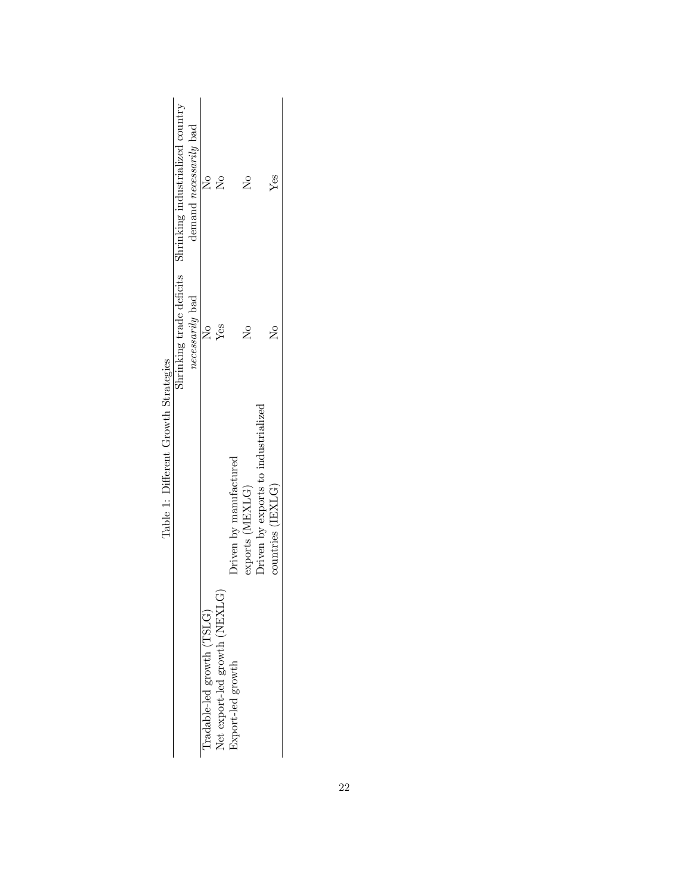|                                      | Shrinking trade deficits Shrinking industrialized country | demand necessarily bad | ş                         | $\stackrel{\circ}{\simeq}$         |                        | $\tilde{\rm z}$ |                                     | Yes               |  |
|--------------------------------------|-----------------------------------------------------------|------------------------|---------------------------|------------------------------------|------------------------|-----------------|-------------------------------------|-------------------|--|
|                                      |                                                           | necessarily bad        | $\frac{1}{2}$             | Yes                                |                        | $\tilde{\rm z}$ |                                     | $\frac{1}{2}$     |  |
| Table 1: Different Growth Strategies |                                                           |                        |                           |                                    | Driven by manufactured | exports (MEXLG) | Oriven by exports to industrialized | countries (IEXLG) |  |
|                                      |                                                           |                        | radable-led growth (TSLG) | ۶ĸ<br>Net export-led growth (NEXLC | Export-led growth      |                 |                                     |                   |  |

Table 1: Different Growth Strategies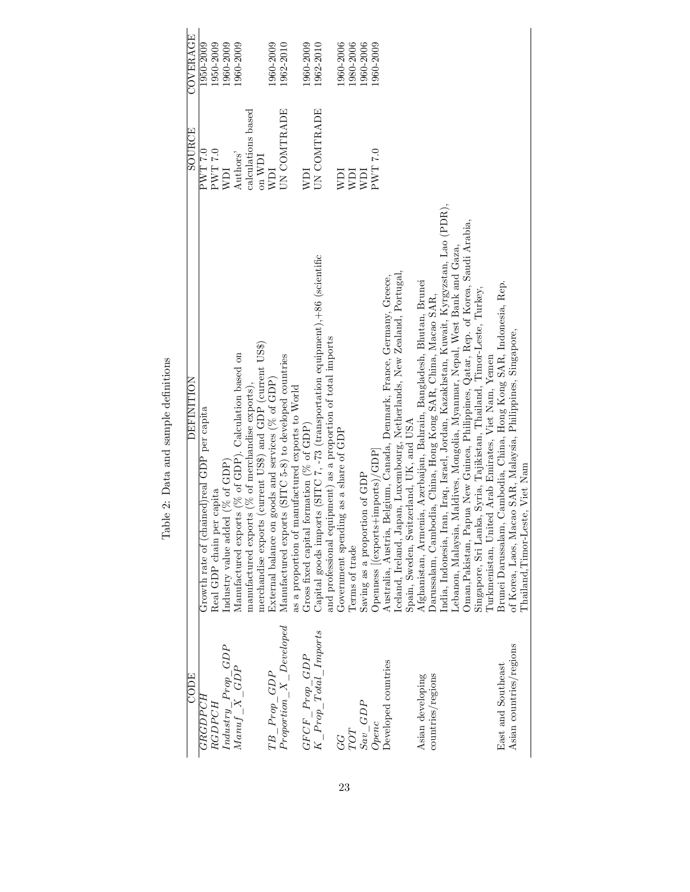| COVERAGE          | 1950-2009                                    | 1950-2009                                 | 1960-2009                       | 1960-2009                                             |                                                     |                                                           | 1960-2009                                            | 1962-2010                                                                |                                                  | 1960-2009                                   | 1962-2010                                                                      |                                                              | 1960-2006                             | 1980-2006      | 1960-2006                     | 1960-2009                                                                          |                                                                        |                                                                          |                                         |                                                                       |                                                               |                                                                                             |                                                                            |                                                                                    |                                                                         |                                                     |                                                                    |                                                              |                                 |
|-------------------|----------------------------------------------|-------------------------------------------|---------------------------------|-------------------------------------------------------|-----------------------------------------------------|-----------------------------------------------------------|------------------------------------------------------|--------------------------------------------------------------------------|--------------------------------------------------|---------------------------------------------|--------------------------------------------------------------------------------|--------------------------------------------------------------|---------------------------------------|----------------|-------------------------------|------------------------------------------------------------------------------------|------------------------------------------------------------------------|--------------------------------------------------------------------------|-----------------------------------------|-----------------------------------------------------------------------|---------------------------------------------------------------|---------------------------------------------------------------------------------------------|----------------------------------------------------------------------------|------------------------------------------------------------------------------------|-------------------------------------------------------------------------|-----------------------------------------------------|--------------------------------------------------------------------|--------------------------------------------------------------|---------------------------------|
| SOURCE            | 0.7 LMA                                      | 0.7 TWH                                   | WDI                             | Authors'                                              | calculations based                                  | $_{\text{on}}$ WDI                                        | ICM                                                  | UN COMTRADE                                                              |                                                  | NDI                                         | UN COMTRADE                                                                    |                                                              | <b>NDI</b>                            | ICM            | <b>NDI</b>                    | PWT 7.0                                                                            |                                                                        |                                                                          |                                         |                                                                       |                                                               |                                                                                             |                                                                            |                                                                                    |                                                                         |                                                     |                                                                    |                                                              |                                 |
| <b>DEFINITION</b> | Growth rate of (chained) real GDP per capita | per capita<br>Real GDP chain <sub>J</sub> | Industry value added (% of GDP) | Manufactured exports (% of GDP). Calculation based on | manufactured exports ( $%$ of merchandise exports), | merchandise exports (current US\$) and GDP (current US\$) | External balance on goods and services ( $%$ of GDP) | Manufactured exports (SITC 5-8) to developed countries                   | as a proportion of manufactured exports to World | Gross fixed capital formation ( $%$ of GDP) | Capital goods imports (SITC 7, -73 (transportation equipment), +86 (scientific | and professional equipment) as a proportion of total imports | Government spending as a share of GDP | Terms of trade | Saving as a proportion of GDP | $\left[ \text{openness}\left[ \text{(exports+imports)} /\text{GDP}\right] \right.$ | Australia, Austria, Belgium, Canada, Denmark, France, Germany, Greece, | lceland, Ireland, Japan, Luxembourg, Netherlands, New Zealand, Portugal, | Spain, Sweden, Switzerland, UK, and USA | Afghanistan, Armenia, Azerbaijan, Bahrain, Bangladesh, Bhutan, Brunei | Darussalam, Cambodia, China, Hong Kong SAR, China, Macao SAR, | Iran, Iraq, Israel, Jordan, Kazakhstan, Kuwait, Kyrgyzstan, Lao (PDR),<br>India, Indonesia, | Lebanon, Malaysia, Maldives, Mongolia, Myanmar, Nepal, West Bank and Gaza, | Oman, Pakistan, Papua New Guinea, Philippines, Qatar, Rep. of Korea, Saudi Arabia, | Singapore, Sri Lanka, Syria, Tajikistan, Thailand, Timor-Leste, Turkey, | Iurkmenistan, United Arab Emirates, Viet Nam, Yemen | Brunei Darussalam, Cambodia, China, Hong Kong SAR, Indonesia, Rep. | of Korea, Laos, Macao SAR, Malaysia, Philippines, Singapore, | Thailand, Timor-Leste, Viet Nam |
| CODE              | <b>GRGDPCH</b>                               | RGDPCH                                    |                                 | $Industry\_Prop\_GDP \notag Manuf\_X\_GDP$            |                                                     |                                                           |                                                      | $\begin{array}{l} TB\_Prop\_GDP \\ Proportion\_X\_Developed \end{array}$ |                                                  | $GFCF\_Prop\_GDP$                           | $K\_Prop\_Total\_Imports$                                                      |                                                              | GG                                    | $TOT$          | $Sav\_GDP$                    | Openc                                                                              | Developed countries                                                    |                                                                          |                                         | Asian developing                                                      | countries/regions                                             |                                                                                             |                                                                            |                                                                                    |                                                                         |                                                     | East and Southeast                                                 | Asian countries/regions                                      |                                 |

Table 2: Data and sample definitions Table 2: Data and sample definitions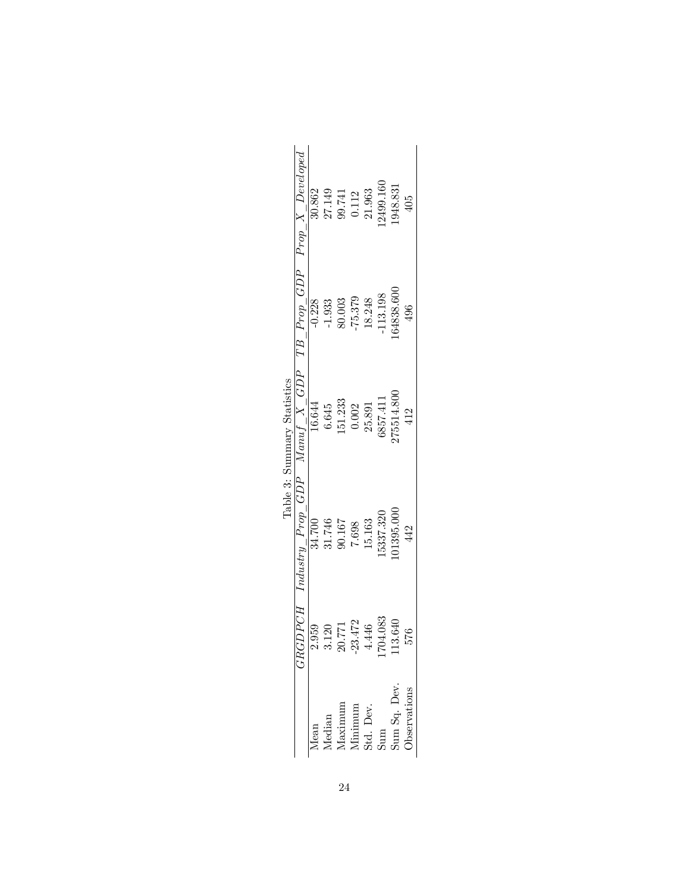|                             | $TB\_Prop\_GDP$ $Prop\_X\_Decloped$          | 30.862   | 27.149<br>99.741 |         | 0.112     | 21.963 | 2499.160  | 1948.831   | 405 |
|-----------------------------|----------------------------------------------|----------|------------------|---------|-----------|--------|-----------|------------|-----|
|                             |                                              | $-0.228$ | $-1.933$         | 80.003  | $-75.379$ | 18.248 | 113.198   | 64838.600  | 496 |
| Table 3: Summary Statistics |                                              | 16.644   | 6.645            | 151.233 | 0.002     | 25.891 | 6857.411  | 175514.800 | 412 |
|                             | $GRGDPCH$ Industry $Prop_GDP$ Manu $f_X_GDP$ | 34.700   | 31.746           | 90.167  | 7.698     | 15.163 | 15337.320 | 01395.000  | 442 |
|                             |                                              | 2.959    | 3.120            | 20.771  | $-23.472$ | 4.446  | 704.083   | .13.640    | 576 |
|                             |                                              |          |                  |         |           |        |           |            |     |

| ۰<br>۰ | Ē<br>tist                  | ļ |
|--------|----------------------------|---|
|        | $\frac{1}{2}$              | 2 |
|        | vugu.<br>amg               |   |
|        |                            |   |
|        | $\dot{\boldsymbol{\cdot}}$ |   |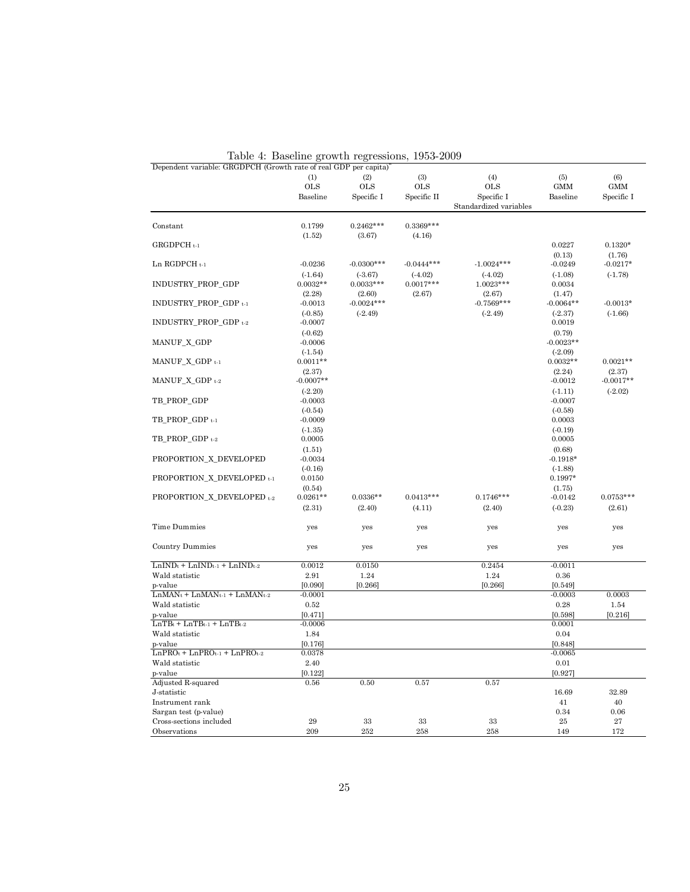| Dependent variable: GRGDPCH (Growth rate of real GDP per capita) <sup>*</sup> |                                  | Table 4: Baseline growth regressions, | 1953-2009                        |                                                           |                                  |                                 |
|-------------------------------------------------------------------------------|----------------------------------|---------------------------------------|----------------------------------|-----------------------------------------------------------|----------------------------------|---------------------------------|
|                                                                               | (1)<br><b>OLS</b><br>Baseline    | (2)<br><b>OLS</b><br>Specific I       | (3)<br><b>OLS</b><br>Specific II | (4)<br><b>OLS</b><br>Specific I<br>Standardized variables | (5)<br><b>GMM</b><br>Baseline    | (6)<br><b>GMM</b><br>Specific I |
| Constant                                                                      | 0.1799                           | $0.2462***$                           | $0.3369***$                      |                                                           |                                  |                                 |
| GRGDPCH <sub>t-1</sub>                                                        | (1.52)                           | (3.67)                                | (4.16)                           |                                                           | 0.0227                           | $0.1320*$                       |
| Ln RGDPCH t-1                                                                 | $-0.0236$                        | $-0.0300***$                          | $-0.0444***$                     | $-1.0024***$                                              | (0.13)<br>$-0.0249$              | (1.76)<br>$-0.0217*$            |
| INDUSTRY_PROP_GDP                                                             | $(-1.64)$<br>$0.0032**$          | (.3.67)<br>$0.0033***$                | $(-4.02)$<br>$0.0017***$         | $(-4.02)$<br>$1.0023***$                                  | $(-1.08)$<br>0.0034              | $(-1.78)$                       |
| INDUSTRY_PROP_GDP t-1                                                         | (2.28)<br>$-0.0013$              | (2.60)<br>$-0.0024***$                | (2.67)                           | (2.67)<br>$-0.7569***$                                    | (1.47)<br>$-0.0064**$            | $-0.0013*$                      |
| INDUSTRY_PROP_GDP t-2                                                         | $(-0.85)$<br>$-0.0007$           | $(-2.49)$                             |                                  | $(-2.49)$                                                 | (.2.37)<br>0.0019                | $(-1.66)$                       |
| MANUF_X_GDP                                                                   | $(-0.62)$<br>$-0.0006$           |                                       |                                  |                                                           | (0.79)<br>$-0.0023**$            |                                 |
| MANUF_X_GDP t-1                                                               | $(-1.54)$<br>$0.0011**$          |                                       |                                  |                                                           | $(-2.09)$<br>$0.0032**$          | $0.0021**$                      |
| MANUF_X_GDP t-2                                                               | (2.37)<br>$-0.0007**$            |                                       |                                  |                                                           | (2.24)<br>$-0.0012$              | (2.37)<br>$-0.0017**$           |
| TB_PROP_GDP                                                                   | $(-2.20)$<br>$-0.0003$           |                                       |                                  |                                                           | $(-1.11)$<br>$-0.0007$           | $(-2.02)$                       |
| TB_PROP_GDP t-1                                                               | $(-0.54)$<br>$-0.0009$           |                                       |                                  |                                                           | $(-0.58)$<br>0.0003              |                                 |
| TB_PROP_GDP t-2                                                               | $(-1.35)$<br>0.0005              |                                       |                                  |                                                           | $(-0.19)$<br>0.0005              |                                 |
| PROPORTION_X_DEVELOPED                                                        | (1.51)<br>$-0.0034$<br>$(-0.16)$ |                                       |                                  |                                                           | (0.68)<br>$-0.1918*$             |                                 |
| PROPORTION_X_DEVELOPED t-1                                                    | 0.0150<br>(0.54)                 |                                       |                                  |                                                           | $(-1.88)$<br>$0.1997*$<br>(1.75) |                                 |
| PROPORTION_X_DEVELOPED t-2                                                    | $0.0261**$<br>(2.31)             | $0.0336**$<br>(2.40)                  | $0.0413***$<br>(4.11)            | $0.1746***$<br>(2.40)                                     | $-0.0142$<br>$(-0.23)$           | $0.0753***$<br>(2.61)           |
| Time Dummies                                                                  | yes                              | yes                                   | yes                              | yes                                                       | yes                              | yes                             |
| Country Dummies                                                               | yes                              | yes                                   | yes                              | yes                                                       | yes                              | yes                             |
| $LnINDt + LnINDt-1 + LnINDt-2$                                                | 0.0012                           | 0.0150                                |                                  | 0.2454                                                    | $-0.0011$                        |                                 |
| Wald statistic                                                                | 2.91                             | 1.24                                  |                                  | 1.24                                                      | 0.36                             |                                 |
| p-value<br>$LnMAN_t + LnMAN_{t-1} + LnMAN_{t-2}$                              | [0.090]<br>$-0.0001$             | [0.266]                               |                                  | [0.266]                                                   | [0.549]<br>$-0.0003$             | 0.0003                          |
| Wald statistic                                                                | 0.52                             |                                       |                                  |                                                           | 0.28                             |                                 |
| p-value                                                                       | [0.471]                          |                                       |                                  |                                                           | [0.598]                          | 1.54<br>[0.216]                 |
| $LnTBt + LnTBt-1 + LnTBt-2$                                                   | $-0.0006$                        |                                       |                                  |                                                           | 0.0001                           |                                 |
| Wald statistic                                                                | 1.84                             |                                       |                                  |                                                           | 0.04                             |                                 |
| p-value                                                                       | [0.176]                          |                                       |                                  |                                                           | [0.848]                          |                                 |
| $LnPRO_{t}$ + $LnPRO_{t-1}$ + $LnPRO_{t-2}$                                   | 0.0378                           |                                       |                                  |                                                           | $-0.0065$                        |                                 |
| Wald statistic                                                                | 2.40                             |                                       |                                  |                                                           | 0.01                             |                                 |
| p-value                                                                       | [0.122]                          |                                       |                                  |                                                           | [0.927]                          |                                 |
| Adjusted R-squared                                                            | 0.56                             | 0.50                                  | 0.57                             | 0.57                                                      |                                  |                                 |
| J-statistic                                                                   |                                  |                                       |                                  |                                                           | 16.69                            | 32.89                           |
| Instrument rank                                                               |                                  |                                       |                                  |                                                           | 41                               | 40                              |
| Sargan test (p-value)                                                         |                                  |                                       |                                  |                                                           | 0.34                             | 0.06                            |
| Cross-sections included                                                       | 29                               | 33                                    | 33                               | 33                                                        | $25\,$                           | 27                              |
| Observations                                                                  | 209                              | 252                                   | 258                              | 258                                                       | 149                              | 172                             |

Table 4: Baseline growth regressions, 1953-2009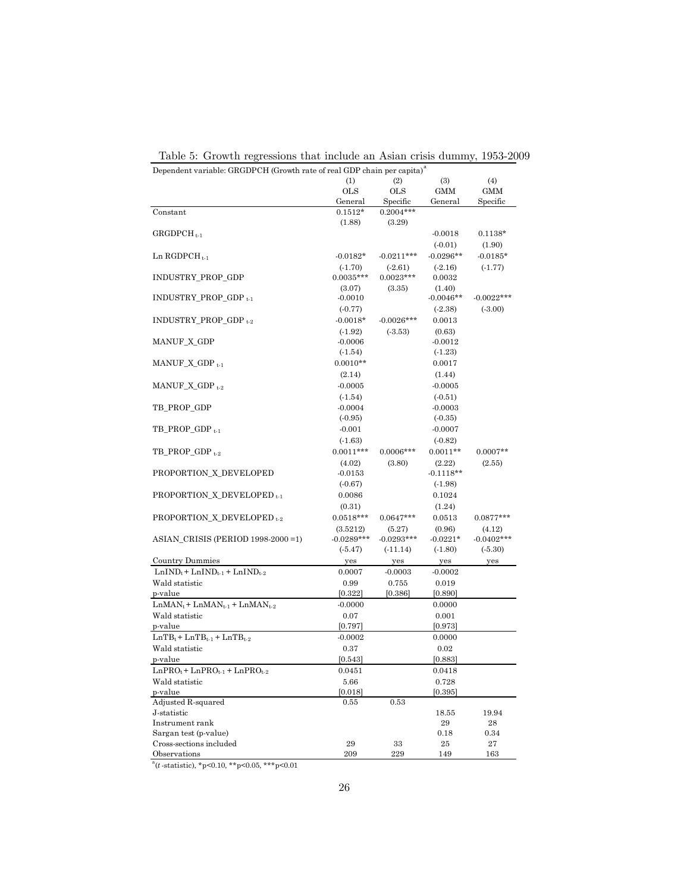|                                                                                   | Dependent variable: GRGDPCH (Growth rate of real GDP chain per capita) <sup>a</sup><br>(1)<br>(2)<br>(3)<br>(4) |              |             |              |  |  |  |
|-----------------------------------------------------------------------------------|-----------------------------------------------------------------------------------------------------------------|--------------|-------------|--------------|--|--|--|
|                                                                                   | <b>OLS</b>                                                                                                      | <b>OLS</b>   | <b>GMM</b>  | <b>GMM</b>   |  |  |  |
|                                                                                   | General                                                                                                         | Specific     | General     | Specific     |  |  |  |
| Constant                                                                          | $0.1512*$                                                                                                       | $0.2004***$  |             |              |  |  |  |
|                                                                                   | (1.88)                                                                                                          | (3.29)       |             |              |  |  |  |
| $GRGDPCH_{t-1}$                                                                   |                                                                                                                 |              | $-0.0018$   | $0.1138*$    |  |  |  |
|                                                                                   |                                                                                                                 |              | $(-0.01)$   | (1.90)       |  |  |  |
| Ln $RGDPCH_{t-1}$                                                                 | $-0.0182*$                                                                                                      | $-0.0211***$ | $-0.0296**$ | $-0.0185*$   |  |  |  |
|                                                                                   | $(-1.70)$                                                                                                       | (.2.61)      | (.2.16)     | (.1.77)      |  |  |  |
| INDUSTRY_PROP_GDP                                                                 | $0.0035***$                                                                                                     | $0.0023***$  | 0.0032      |              |  |  |  |
|                                                                                   | (3.07)                                                                                                          | (3.35)       | (1.40)      |              |  |  |  |
| $INDUSTRY_PROP_GDP_{t-1}$                                                         | $-0.0010$                                                                                                       |              | $-0.0046**$ | $-0.0022***$ |  |  |  |
|                                                                                   | $(-0.77)$                                                                                                       |              | (.2.38)     | (.3.00)      |  |  |  |
| $INDUSTRY_PROP_GDP_{t-2}$                                                         | $-0.0018*$                                                                                                      | $-0.0026***$ | 0.0013      |              |  |  |  |
|                                                                                   | $(-1.92)$                                                                                                       | (.3.53)      | (0.63)      |              |  |  |  |
| MANUF_X_GDP                                                                       | $-0.0006$                                                                                                       |              | $-0.0012$   |              |  |  |  |
|                                                                                   | $(-1.54)$                                                                                                       |              | $(-1.23)$   |              |  |  |  |
| $MANUF_X_GDP_{t-1}$                                                               | $0.0010**$                                                                                                      |              | 0.0017      |              |  |  |  |
|                                                                                   | (2.14)                                                                                                          |              | (1.44)      |              |  |  |  |
| MANUF_X_GDP $_{t-2}$                                                              | $-0.0005$                                                                                                       |              | $-0.0005$   |              |  |  |  |
|                                                                                   | $(-1.54)$                                                                                                       |              | $(-0.51)$   |              |  |  |  |
| TB_PROP_GDP                                                                       | $-0.0004$                                                                                                       |              | $-0.0003$   |              |  |  |  |
|                                                                                   | $(-0.95)$                                                                                                       |              | $(-0.35)$   |              |  |  |  |
| $TB\_PROP\_GDP_{t-1}$                                                             | $-0.001$                                                                                                        |              | $-0.0007$   |              |  |  |  |
|                                                                                   | (.1.63)                                                                                                         |              | $(-0.82)$   |              |  |  |  |
| $TB\_PROP\_GDP_{t-2}$                                                             | $0.0011***$                                                                                                     | $0.0006***$  | $0.0011**$  | $0.0007**$   |  |  |  |
|                                                                                   | (4.02)                                                                                                          | (3.80)       | (2.22)      | (2.55)       |  |  |  |
| PROPORTION X DEVELOPED                                                            | $-0.0153$                                                                                                       |              | $-0.1118**$ |              |  |  |  |
|                                                                                   | $(-0.67)$                                                                                                       |              | (.1.98)     |              |  |  |  |
| PROPORTION_X_DEVELOPED <sub>t-1</sub>                                             | 0.0086                                                                                                          |              | 0.1024      |              |  |  |  |
|                                                                                   | (0.31)                                                                                                          |              | (1.24)      |              |  |  |  |
| PROPORTION_X_DEVELOPED <sub>t-2</sub>                                             | $0.0518***$                                                                                                     | $0.0647***$  | 0.0513      | $0.0877***$  |  |  |  |
|                                                                                   | (3.5212)                                                                                                        | (5.27)       | (0.96)      | (4.12)       |  |  |  |
| ASIAN_CRISIS (PERIOD 1998-2000 = 1)                                               | $-0.0289***$                                                                                                    | $-0.0293***$ | $-0.0221*$  | $-0.0402***$ |  |  |  |
|                                                                                   | (.5.47)                                                                                                         | $(-11.14)$   | $(-1.80)$   | (.5.30)      |  |  |  |
| <b>Country Dummies</b>                                                            | yes                                                                                                             | yes          | yes         | yes          |  |  |  |
| $\text{LnIND}_{\text{t}} + \text{LnIND}_{\text{t-1}} + \text{LnIND}_{\text{t-2}}$ | 0.0007                                                                                                          | $-0.0003$    | $-0.0002$   |              |  |  |  |
| Wald statistic                                                                    | 0.99                                                                                                            | 0.755        | 0.019       |              |  |  |  |
| p-value                                                                           | [0.322]                                                                                                         | [0.386]      | [0.890]     |              |  |  |  |
| $LnMAN_t + LnMAN_{t-1} + LnMAN_{t-2}$                                             | $-0.0000$                                                                                                       |              | 0.0000      |              |  |  |  |
| Wald statistic                                                                    | 0.07                                                                                                            |              | 0.001       |              |  |  |  |
| p-value                                                                           | [0.797]                                                                                                         |              | [0.973]     |              |  |  |  |
| $LnTB_t + LnTB_{t-1} + LnTB_{t-2}$                                                | $-0.0002$                                                                                                       |              | 0.0000      |              |  |  |  |
| Wald statistic                                                                    | 0.37                                                                                                            |              | 0.02        |              |  |  |  |
| p-value                                                                           | [0.543]                                                                                                         |              | [0.883]     |              |  |  |  |
| $LnPRO_{t}$ + $LnPRO_{t-1}$ + $LnPRO_{t-2}$                                       | 0.0451                                                                                                          |              | 0.0418      |              |  |  |  |
| Wald statistic                                                                    | 5.66                                                                                                            |              | 0.728       |              |  |  |  |
| p-value                                                                           | [0.018]                                                                                                         |              | [0.395]     |              |  |  |  |
| Adjusted R-squared                                                                | 0.55                                                                                                            | 0.53         |             |              |  |  |  |
| J-statistic                                                                       |                                                                                                                 |              | 18.55       | 19.94        |  |  |  |
| Instrument rank                                                                   |                                                                                                                 |              | 29          | 28           |  |  |  |
| Sargan test (p-value)                                                             |                                                                                                                 |              | 0.18        | 0.34         |  |  |  |
| Cross-sections included                                                           | 29                                                                                                              | 33           | 25          | 27           |  |  |  |
| Observations                                                                      | 209                                                                                                             | 229          | 149         | 163          |  |  |  |

Table 5: Growth regressions that include an Asian crisis dummy, 1953-2009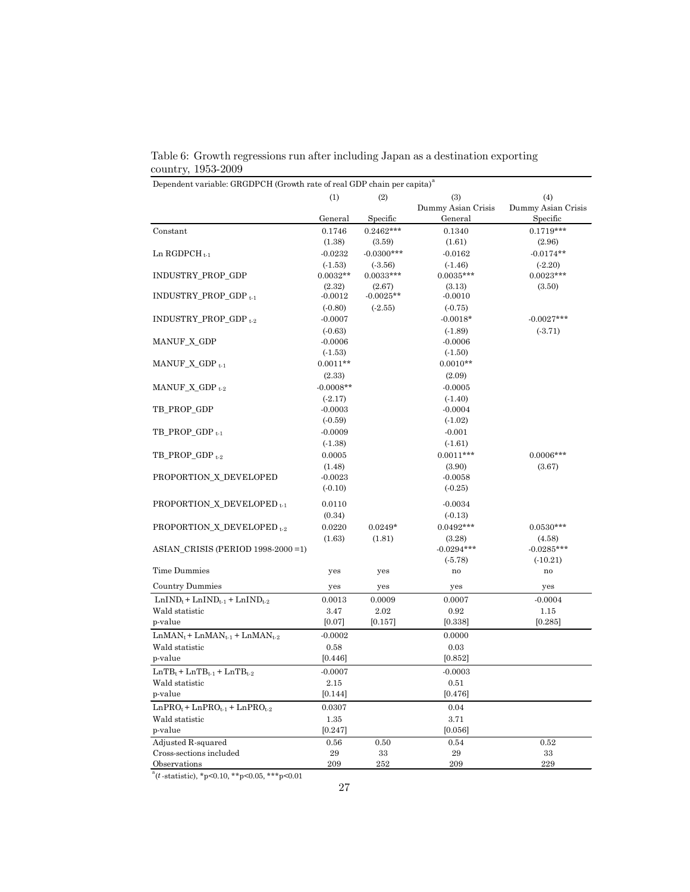|                                                    | (1)         | (2)          | (3)                | (4)                |
|----------------------------------------------------|-------------|--------------|--------------------|--------------------|
|                                                    |             |              | Dummy Asian Crisis | Dummy Asian Crisis |
|                                                    | General     | Specific     | General            | Specific           |
| Constant                                           | 0.1746      | $0.2462***$  | 0.1340             | $0.1719***$        |
|                                                    | (1.38)      | (3.59)       | (1.61)             | (2.96)             |
| Ln RGDPCH $_{t-1}$                                 | $-0.0232$   | $-0.0300***$ | $-0.0162$          | $-0.0174**$        |
|                                                    | $(-1.53)$   | (.3.56)      | (.1.46)            | $(-2.20)$          |
| INDUSTRY_PROP_GDP                                  | $0.0032**$  | $0.0033***$  | $0.0035***$        | $0.0023***$        |
|                                                    | (2.32)      | (2.67)       | (3.13)             | (3.50)             |
| INDUSTRY_PROP_GDP <sub>t-1</sub>                   | $-0.0012$   | $-0.0025**$  | $-0.0010$          |                    |
|                                                    | $(-0.80)$   | (.2.55)      | $(-0.75)$          |                    |
| INDUSTRY_PROP_GDP t-2                              | $-0.0007$   |              | $-0.0018*$         | $-0.0027***$       |
|                                                    | $(-0.63)$   |              | (.1.89)            | (.3.71)            |
| MANUF_X_GDP                                        | $-0.0006$   |              | $-0.0006$          |                    |
|                                                    | $(-1.53)$   |              | (.1.50)            |                    |
| $MANUF_X_GDP_{t-1}$                                | $0.0011**$  |              | $0.0010**$         |                    |
|                                                    | (2.33)      |              | (2.09)             |                    |
| MANUF_X_GDP $_{t-2}$                               | $-0.0008**$ |              | $-0.0005$          |                    |
|                                                    | $(-2.17)$   |              | $(-1.40)$          |                    |
| TB PROP GDP                                        | $-0.0003$   |              | $-0.0004$          |                    |
|                                                    | $(-0.59)$   |              | (.1.02)            |                    |
| $TB\_PROP\_GDP_{t-1}$                              | $-0.0009$   |              | $-0.001$           |                    |
|                                                    | (.1.38)     |              | (.1.61)            |                    |
| $TB\_PROP\_GDP_{t-2}$                              | 0.0005      |              | $0.0011***$        | $0.0006***$        |
|                                                    | (1.48)      |              | (3.90)             | (3.67)             |
| PROPORTION_X_DEVELOPED                             | $-0.0023$   |              | $-0.0058$          |                    |
|                                                    | $(-0.10)$   |              | $(-0.25)$          |                    |
| PROPORTION_X_DEVELOPED t-1                         | 0.0110      |              | $-0.0034$          |                    |
|                                                    | (0.34)      |              | $(-0.13)$          |                    |
| PROPORTION_X_DEVELOPED +2                          | 0.0220      | $0.0249*$    | $0.0492***$        | $0.0530***$        |
|                                                    | (1.63)      | (1.81)       | (3.28)             | (4.58)             |
| ASIAN_CRISIS (PERIOD 1998-2000 = 1)                |             |              | $-0.0294***$       | $-0.0285***$       |
|                                                    |             |              | $(-5.78)$          | (.10.21)           |
| Time Dummies                                       | yes         | yes          | no                 | no                 |
|                                                    |             |              |                    |                    |
| <b>Country Dummies</b>                             | yes         | yes          | yes                | yes                |
| $LnIND_t + LnIND_{t-1} + LnIND_{t-2}$              | 0.0013      | 0.0009       | 0.0007             | $-0.0004$          |
| Wald statistic                                     | 3.47        | 2.02         | 0.92               | 1.15               |
| p-value                                            | [0.07]      | [0.157]      | [0.338]            | [0.285]            |
| $LnMAN_t + LnMAN_{t-1} + LnMAN_{t-2}$              | $-0.0002$   |              | 0.0000             |                    |
| Wald statistic                                     | 0.58        |              | 0.03               |                    |
| p-value                                            | [0.446]     |              | [0.852]            |                    |
| $LnTB_{t} + LnTB_{t\text{-}1} + LnTB_{t\text{-}2}$ | $-0.0007$   |              | $-0.0003$          |                    |
| Wald statistic                                     | 2.15        |              | 0.51               |                    |
| p-value                                            | [0.144]     |              | [0.476]            |                    |
| $LnPRO_{t}$ + $LnPRO_{t-1}$ + $LnPRO_{t-2}$        | 0.0307      |              | 0.04               |                    |
| Wald statistic                                     | $1.35\,$    |              | 3.71               |                    |
| p-value                                            | [0.247]     |              | [0.056]            |                    |
| Adjusted R-squared                                 | 0.56        | 0.50         | 0.54               | 0.52               |
| Cross-sections included                            | 29          | 33           | 29                 | 33                 |
| Observations                                       | 209         | 252          | 209                | 229                |
| $^a(t)$ -statistic), *p<0.10, **p<0.05, ***p<0.01  |             |              |                    |                    |

Table 6: Growth regressions run after including Japan as a destination exporting country, 1953-2009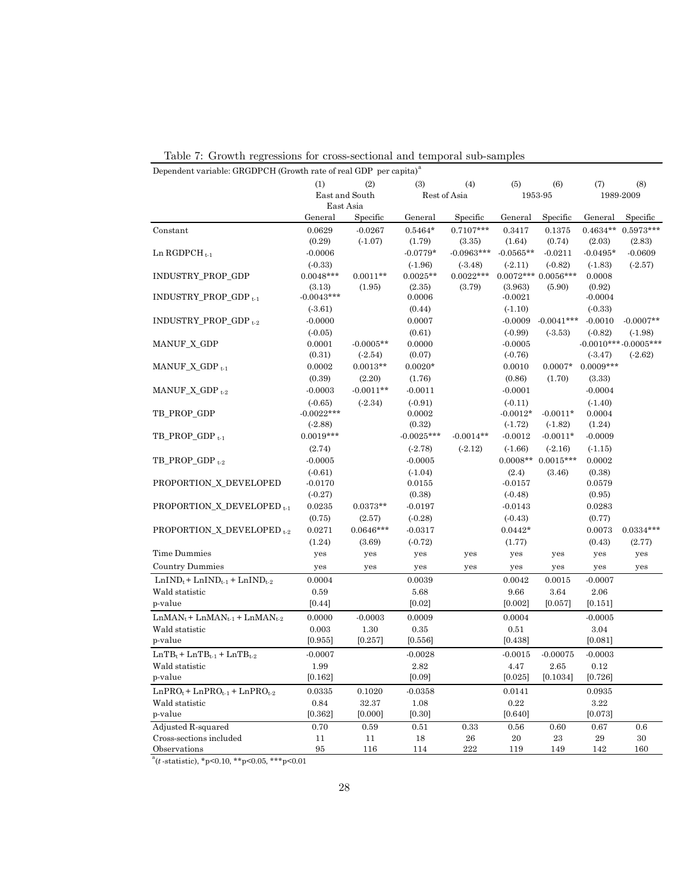| Dependent variable: GRGDPCH (Growth rate of real GDP per capita) <sup>a</sup> |                        |                      |                  |              |             |                      |                  |                         |
|-------------------------------------------------------------------------------|------------------------|----------------------|------------------|--------------|-------------|----------------------|------------------|-------------------------|
|                                                                               | (1)                    | (2)                  | (3)              | (4)          | (5)         | (6)                  | (7)              | (8)                     |
|                                                                               | East and South         |                      | Rest of Asia     |              |             | 1953-95              |                  | 1989-2009               |
|                                                                               | East Asia              |                      |                  |              |             |                      |                  |                         |
|                                                                               | General                | Specific             | General          | Specific     | General     | Specific             | General          | Specific                |
| Constant                                                                      | 0.0629                 | $-0.0267$            | $0.5464*$        | $0.7107***$  | 0.3417      | 0.1375               | $0.4634**$       | $0.5973***$             |
|                                                                               | (0.29)                 | (.1.07)              | (1.79)           | (3.35)       | (1.64)      | (0.74)               | (2.03)           | (2.83)                  |
| $Ln$ RGDPCH <sub>t-1</sub>                                                    | $-0.0006$              |                      | $-0.0779*$       | $-0.0963***$ | $-0.0565**$ | $-0.0211$            | $-0.0495*$       | $-0.0609$               |
|                                                                               | $(-0.33)$              |                      | (.1.96)          | (.3.48)      | $(-2.11)$   | $(-0.82)$            | (.1.83)          | (.2.57)                 |
| INDUSTRY_PROP_GDP                                                             | $0.0048***$            | $0.0011**$<br>(1.95) | $0.0025**$       | $0.0022***$  | (3.963)     | $0.0072***0.0056***$ | 0.0008<br>(0.92) |                         |
| INDUSTRY_PROP_GDP <sub>t-1</sub>                                              | (3.13)<br>$-0.0043***$ |                      | (2.35)<br>0.0006 | (3.79)       | $-0.0021$   | (5.90)               | $-0.0004$        |                         |
|                                                                               | (.3.61)                |                      | (0.44)           |              | $(-1.10)$   |                      | $(-0.33)$        |                         |
| INDUSTRY_PROP_GDP t-2                                                         | $-0.0000$              |                      | 0.0007           |              | $-0.0009$   | $-0.0041***$         | $-0.0010$        | $-0.0007**$             |
|                                                                               | $(-0.05)$              |                      | (0.61)           |              | $(-0.99)$   | (.3.53)              | $(-0.82)$        | (.1.98)                 |
| MANUF_X_GDP                                                                   | 0.0001                 | $-0.0005**$          | 0.0000           |              | $-0.0005$   |                      |                  | $-0.0010***$ -0.0005*** |
|                                                                               | (0.31)                 | $(-2.54)$            | (0.07)           |              | $(-0.76)$   |                      | (.3.47)          | (.2.62)                 |
| $MANUF_X_GDP_{t-1}$                                                           | 0.0002                 | $0.0013**$           | $0.0020*$        |              | 0.0010      | $0.0007*$            | $0.0009***$      |                         |
|                                                                               | (0.39)                 | (2.20)               | (1.76)           |              | (0.86)      | (1.70)               | (3.33)           |                         |
| $MANUF_X_GDP_{t-2}$                                                           | $-0.0003$              | $-0.0011**$          | $-0.0011$        |              | $-0.0001$   |                      | $-0.0004$        |                         |
|                                                                               | (.0.65)                | (.2.34)              | $(-0.91)$        |              | $(-0.11)$   |                      | $(-1.40)$        |                         |
| TB_PROP_GDP                                                                   | $-0.0022***$           |                      | 0.0002           |              | $-0.0012*$  | $-0.0011*$           | 0.0004           |                         |
|                                                                               | (.2.88)                |                      | (0.32)           |              | $(-1.72)$   | (.1.82)              | (1.24)           |                         |
| $TB\_PROP\_GDP_{t-1}$                                                         | $0.0019***$            |                      | $-0.0025***$     | $-0.0014**$  | $-0.0012$   | $-0.0011*$           | $-0.0009$        |                         |
|                                                                               | (2.74)                 |                      | (.2.78)          | $(-2.12)$    | (.1.66)     | (.2.16)              | $(-1.15)$        |                         |
| $TB\_PROP\_GDP_{t-2}$                                                         | $-0.0005$              |                      | $-0.0005$        |              | $0.0008**$  | $0.0015***$          | 0.0002           |                         |
|                                                                               | (.0.61)                |                      | (.1.04)          |              | (2.4)       | (3.46)               | (0.38)           |                         |
| PROPORTION_X_DEVELOPED                                                        | $-0.0170$              |                      | 0.0155           |              | $-0.0157$   |                      | 0.0579           |                         |
|                                                                               | (.0.27)                |                      | (0.38)           |              | $(-0.48)$   |                      | (0.95)           |                         |
| PROPORTION_X_DEVELOPED <sub>t-1</sub>                                         | 0.0235                 | $0.0373**$           | $-0.0197$        |              | $-0.0143$   |                      | 0.0283           |                         |
|                                                                               | (0.75)                 | (2.57)               | $(-0.28)$        |              | $(-0.43)$   |                      | (0.77)           |                         |
| PROPORTION_X_DEVELOPED <sub>t-2</sub>                                         | 0.0271                 | $0.0646***$          | $-0.0317$        |              | $0.0442*$   |                      | 0.0073           | $0.0334***$             |
|                                                                               | (1.24)                 | (3.69)               | $(-0.72)$        |              | (1.77)      |                      | (0.43)           | (2.77)                  |
| <b>Time Dummies</b>                                                           | yes                    | yes                  | yes              | yes          | yes         | yes                  | yes              | yes                     |
| <b>Country Dummies</b>                                                        | yes                    | yes                  | yes              | yes          | yes         | yes                  | yes              | yes                     |
| $LnIND_t + LnIND_{t-1} + LnIND_{t-2}$                                         | 0.0004                 |                      | 0.0039           |              | 0.0042      | 0.0015               | $-0.0007$        |                         |
| Wald statistic                                                                | 0.59                   |                      | 5.68             |              | 9.66        | 3.64                 | 2.06             |                         |
| p-value                                                                       | [0.44]                 |                      | [0.02]           |              | [0.002]     | [0.057]              | [0.151]          |                         |
| $LnMAN_t + LnMAN_{t-1} + LnMAN_{t-2}$                                         | 0.0000                 | $-0.0003$            | 0.0009           |              | 0.0004      |                      | $-0.0005$        |                         |
| Wald statistic                                                                | 0.003                  | 1.30                 | 0.35             |              | $0.51\,$    |                      | 3.04             |                         |
| p-value                                                                       | [0.955]                | [0.257]              | [0.556]          |              | [0.438]     |                      | [0.081]          |                         |
| $LnTB_t + LnTB_{t-1} + LnTB_{t-2}$                                            | $-0.0007$              |                      | $-0.0028$        |              | $-0.0015$   | $-0.00075$           | $-0.0003$        |                         |
| Wald statistic                                                                | 1.99                   |                      | 2.82             |              | 4.47        | 2.65                 | 0.12             |                         |
| p-value                                                                       | [0.162]                |                      | [0.09]           |              | [0.025]     | [0.1034]             | [0.726]          |                         |
| $LnPRO_{t}$ + $LnPRO_{t-1}$ + $LnPRO_{t-2}$                                   | 0.0335                 | 0.1020               | $-0.0358$        |              | 0.0141      |                      | 0.0935           |                         |
| Wald statistic                                                                | 0.84                   | 32.37                | 1.08             |              | 0.22        |                      | 3.22             |                         |
| p-value                                                                       | [0.362]                | [0.000]              | [0.30]           |              | [0.640]     |                      | [0.073]          |                         |
| Adjusted R-squared                                                            | 0.70                   | 0.59                 | 0.51             | 0.33         | 0.56        | 0.60                 | 0.67             | 0.6                     |
| Cross-sections included                                                       | 11                     | 11                   | 18               | 26           | $20\,$      | 23                   | 29               | $30\,$                  |
| Observations                                                                  | 95                     | 116                  | 114              | 222          | 119         | 149                  | 142              | 160                     |

|  |  | Table 7: Growth regressions for cross-sectional and temporal sub-samples |  |  |
|--|--|--------------------------------------------------------------------------|--|--|
|  |  |                                                                          |  |  |

 $a(t - statistic), \times p < 0.10, \times p < 0.05, \times p < 0.01$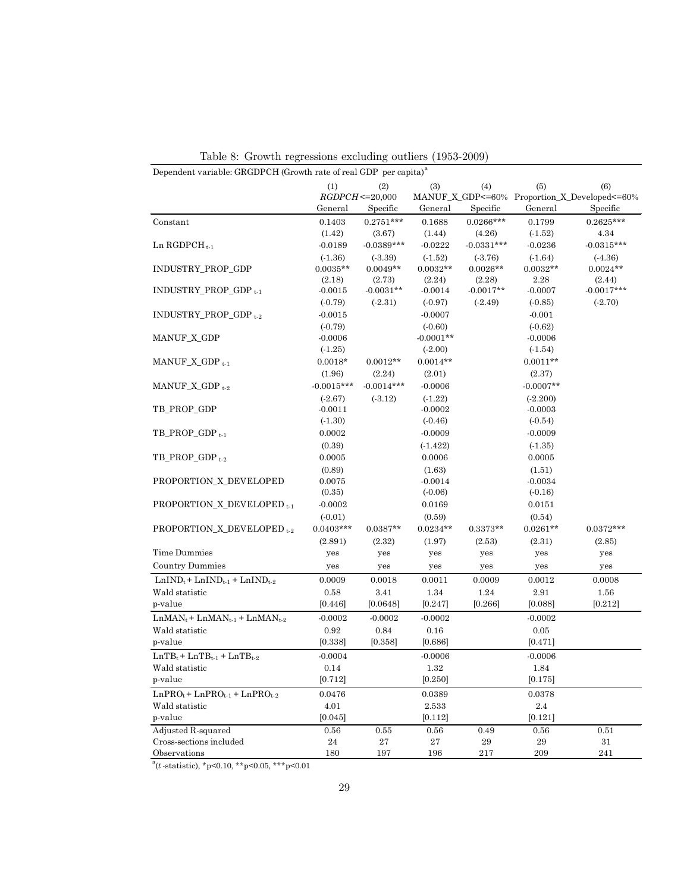| Dependent variable: GRGDPCH (Growth rate of real GDP per capita) <sup>a</sup> |                     |              |             |              |             |                                              |  |  |
|-------------------------------------------------------------------------------|---------------------|--------------|-------------|--------------|-------------|----------------------------------------------|--|--|
|                                                                               | (1)                 | (2)          | (3)         | (4)          | (5)         | (6)                                          |  |  |
|                                                                               | $RGDPCH \le 20,000$ |              |             |              |             | MANUF_X_GDP<=60% Proportion_X_Developed<=60% |  |  |
|                                                                               | General             | Specific     | General     | Specific     | General     | Specific                                     |  |  |
| Constant                                                                      | 0.1403              | $0.2751***$  | 0.1688      | $0.0266***$  | 0.1799      | $0.2625***$                                  |  |  |
|                                                                               | (1.42)              | (3.67)       | (1.44)      | (4.26)       | (.1.52)     | 4.34                                         |  |  |
| Ln RGDPCH $_{t-1}$                                                            | $-0.0189$           | $-0.0389***$ | $-0.0222$   | $-0.0331***$ | $-0.0236$   | $-0.0315***$                                 |  |  |
|                                                                               | (.1.36)             | (.3.39)      | (.1.52)     | (.3.76)      | (.1.64)     | (.4.36)                                      |  |  |
| INDUSTRY_PROP_GDP                                                             | $0.0035**$          | $0.0049**$   | $0.0032**$  | $0.0026**$   | $0.0032**$  | $0.0024**$                                   |  |  |
|                                                                               | (2.18)              | (2.73)       | (2.24)      | (2.28)       | 2.28        | (2.44)                                       |  |  |
| INDUSTRY_PROP_GDP <sub>t-1</sub>                                              | $-0.0015$           | $-0.0031**$  | $-0.0014$   | $-0.0017**$  | $-0.0007$   | $-0.0017***$                                 |  |  |
|                                                                               | $(-0.79)$           | (.2.31)      | $(-0.97)$   | (.2.49)      | $(-0.85)$   | (.2.70)                                      |  |  |
| INDUSTRY_PROP_GDP $_{t=2}$                                                    | $-0.0015$           |              | $-0.0007$   |              | $-0.001$    |                                              |  |  |
|                                                                               | $(-0.79)$           |              | (.0.60)     |              | $(-0.62)$   |                                              |  |  |
| MANUF_X_GDP                                                                   | $-0.0006$           |              | $-0.0001**$ |              | $-0.0006$   |                                              |  |  |
|                                                                               | $(-1.25)$           |              | (.2.00)     |              | (.1.54)     |                                              |  |  |
| MANUF_X_GDP $_{t-1}$                                                          | $0.0018*$           | $0.0012**$   | $0.0014**$  |              | $0.0011**$  |                                              |  |  |
|                                                                               | (1.96)              | (2.24)       | (2.01)      |              | (2.37)      |                                              |  |  |
| MANUF_X_GDP $_{t=2}$                                                          | $-0.0015***$        | $-0.0014***$ | $-0.0006$   |              | $-0.0007**$ |                                              |  |  |
|                                                                               | (.2.67)             | (.3.12)      | $(-1.22)$   |              | (.2.200)    |                                              |  |  |
| TB_PROP_GDP                                                                   | $-0.0011$           |              | $-0.0002$   |              | $-0.0003$   |                                              |  |  |
|                                                                               | (.1.30)             |              | $(-0.46)$   |              | $(-0.54)$   |                                              |  |  |
| $TB$ PROP GDP $t+1$                                                           | 0.0002              |              | $-0.0009$   |              | $-0.0009$   |                                              |  |  |
|                                                                               | (0.39)              |              | $(-1.422)$  |              | (.1.35)     |                                              |  |  |
| TB_PROP_GDP <sub>t-2</sub>                                                    | 0.0005              |              | 0.0006      |              | 0.0005      |                                              |  |  |
|                                                                               | (0.89)              |              | (1.63)      |              | (1.51)      |                                              |  |  |
| PROPORTION_X_DEVELOPED                                                        | 0.0075              |              | $-0.0014$   |              | $-0.0034$   |                                              |  |  |
|                                                                               | (0.35)              |              | $(-0.06)$   |              | $(-0.16)$   |                                              |  |  |
| PROPORTION X DEVELOPED $_{t-1}$                                               | $-0.0002$           |              | 0.0169      |              | 0.0151      |                                              |  |  |
|                                                                               | (.0.01)             |              | (0.59)      |              | (0.54)      |                                              |  |  |
| PROPORTION_X_DEVELOPED <sub>t-2</sub>                                         | $0.0403***$         | $0.0387**$   | $0.0234**$  | $0.3373**$   | $0.0261**$  | $0.0372***$                                  |  |  |
|                                                                               | (2.891)             | (2.32)       | (1.97)      | (2.53)       | (2.31)      | (2.85)                                       |  |  |
| Time Dummies                                                                  | yes                 | yes          | yes         | yes          | yes         | yes                                          |  |  |
| <b>Country Dummies</b>                                                        | yes                 | yes          | yes         | yes          | yes         | yes                                          |  |  |
| $LnIND_{t}$ + $LnIND_{t-1}$ + $LnIND_{t-2}$                                   | 0.0009              | 0.0018       | 0.0011      | 0.0009       | 0.0012      | 0.0008                                       |  |  |
| Wald statistic                                                                | 0.58                | 3.41         | 1.34        | 1.24         | 2.91        | 1.56                                         |  |  |
| p-value                                                                       | [0.446]             | [0.0648]     | [0.247]     | [0.266]      | [0.088]     | [0.212]                                      |  |  |
| $LnMAN_t + LnMAN_{t-1} + LnMAN_{t-2}$                                         | $-0.0002$           | $-0.0002$    | $-0.0002$   |              | $-0.0002$   |                                              |  |  |
| Wald statistic                                                                | 0.92                | 0.84         | 0.16        |              | 0.05        |                                              |  |  |
| p-value                                                                       | [0.338]             | [0.358]      | [0.686]     |              | [0.471]     |                                              |  |  |
| $LnTBt + LnTBt-1 + LnTBt-2$                                                   | $-0.0004$           |              | $-0.0006$   |              | $-0.0006$   |                                              |  |  |
| Wald statistic                                                                | $0.14\,$            |              | $1.32\,$    |              | 1.84        |                                              |  |  |
| p-value                                                                       | [0.712]             |              | [0.250]     |              | [0.175]     |                                              |  |  |
| $LnPRO_{t}$ + $LnPRO_{t-1}$ + $LnPRO_{t-2}$                                   | 0.0476              |              | 0.0389      |              | 0.0378      |                                              |  |  |
| Wald statistic                                                                | 4.01                |              | 2.533       |              | $2.4\,$     |                                              |  |  |
| p-value                                                                       | [0.045]             |              | [0.112]     |              | [0.121]     |                                              |  |  |
| Adjusted R-squared                                                            | $\,0.56$            | 0.55         | 0.56        | 0.49         | 0.56        | $0.51\,$                                     |  |  |
| Cross-sections included                                                       | $\bf 24$            | $\bf 27$     | 27          | 29           | $\bf 29$    | 31                                           |  |  |
| Observations                                                                  | 180                 | 197          | 196         | 217          | 209         | $241\,$                                      |  |  |

Table 8: Growth regressions excluding outliers (1953-2009)

 $a(t - \text{statistic})$ , \*p<0.10, \*\*p<0.05, \*\*\*p<0.01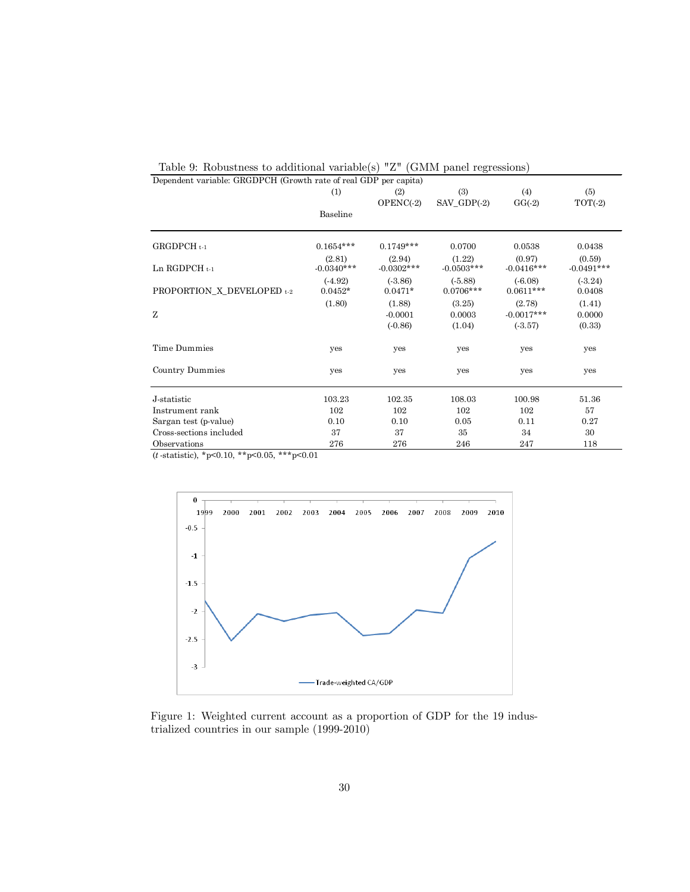| Dependent variable: GRGDPCH (Growth rate of real GDP per capita) |                        |                        |                        |                          |                        |
|------------------------------------------------------------------|------------------------|------------------------|------------------------|--------------------------|------------------------|
|                                                                  | (1)                    | (2)                    | (3)                    | (4)                      | (5)                    |
|                                                                  |                        | $OPENC(-2)$            | $SAV_GDP(-2)$          | $GG(-2)$                 | $TOT(-2)$              |
|                                                                  | Baseline               |                        |                        |                          |                        |
| $GRGDPCH_{t-1}$                                                  | $0.1654***$            | $0.1749***$            | 0.0700                 | 0.0538                   | 0.0438                 |
| Ln RGDPCH $t-1$                                                  | (2.81)<br>$-0.0340***$ | (2.94)<br>$-0.0302***$ | (1.22)<br>$-0.0503***$ | (0.97)<br>$-0.0416***$   | (0.59)<br>$-0.0491***$ |
| PROPORTION_X_DEVELOPED t-2                                       | $(-4.92)$<br>$0.0452*$ | (.3.86)<br>$0.0471*$   | (.5.88)<br>$0.0706***$ | $(-6.08)$<br>$0.0611***$ | (.3.24)<br>0.0408      |
| Z                                                                | (1.80)                 | (1.88)<br>$-0.0001$    | (3.25)<br>0.0003       | (2.78)<br>$-0.0017***$   | (1.41)<br>0.0000       |
|                                                                  |                        | $(-0.86)$              | (1.04)                 | (.3.57)                  | (0.33)                 |
| Time Dummies                                                     | yes                    | yes                    | yes                    | yes                      | yes                    |
| Country Dummies                                                  | yes                    | yes                    | yes                    | yes                      | yes                    |
| J-statistic                                                      | 103.23                 | 102.35                 | 108.03                 | 100.98                   | 51.36                  |
| Instrument rank                                                  | 102                    | 102                    | 102                    | 102                      | 57                     |
| Sargan test (p-value)                                            | 0.10                   | 0.10                   | 0.05                   | 0.11                     | 0.27                   |
| Cross-sections included                                          | 37                     | 37                     | 35                     | 34                       | 30                     |
| Observations                                                     | 276                    | 276                    | 246                    | 247                      | 118                    |

Table 9: Robustness to additional variable(s) "Z" (GMM panel regressions)

 $(t$ -statistic), \*p<0.10, \*\*p<0.05, \*\*\*p<0.01



Figure 1: Weighted current account as a proportion of GDP for the 19 industrialized countries in our sample (1999-2010)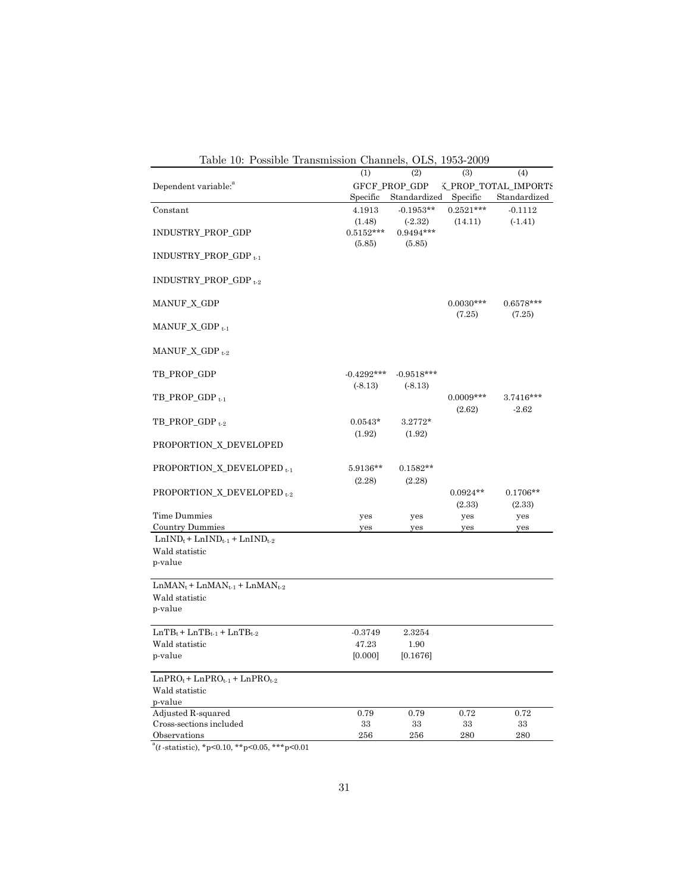| Table 10: Possible Transmission Channels, OLS, 1953-2009 |              |               |             |                      |
|----------------------------------------------------------|--------------|---------------|-------------|----------------------|
|                                                          | (1)          | (2)           | (3)         | (4)                  |
| Dependent variable: <sup>"</sup>                         |              | GFCF_PROP_GDP |             | K_PROP_TOTAL_IMPORT{ |
|                                                          | Specific     | Standardized  | Specific    | Standardized         |
| Constant                                                 | 4.1913       | $-0.1953**$   | $0.2521***$ | $-0.1112$            |
|                                                          | (1.48)       | (.2.32)       | (14.11)     | $(-1.41)$            |
| INDUSTRY_PROP_GDP                                        | $0.5152***$  | $0.9494***$   |             |                      |
|                                                          | (5.85)       | (5.85)        |             |                      |
| $INDUSTRY_PROP_GDP_{t-1}$                                |              |               |             |                      |
|                                                          |              |               |             |                      |
| INDUSTRY_PROP_GDP t-2                                    |              |               |             |                      |
|                                                          |              |               |             |                      |
| <b>MANUF_X_GDP</b>                                       |              |               | $0.0030***$ | $0.6578***$          |
|                                                          |              |               |             |                      |
|                                                          |              |               | (7.25)      | (7.25)               |
| MANUF_X_GDP $_{t-1}$                                     |              |               |             |                      |
|                                                          |              |               |             |                      |
| MANUF_X_GDP $_{t-2}$                                     |              |               |             |                      |
|                                                          |              |               |             |                      |
| TB_PROP_GDP                                              | $-0.4292***$ | $-0.9518***$  |             |                      |
|                                                          | (.8.13)      | (.8.13)       |             |                      |
| $TB\_PROP\_GDP_{t-1}$                                    |              |               | $0.0009***$ | $3.7416***$          |
|                                                          |              |               | (2.62)      | $-2.62$              |
| $TB\_PROP\_GDP_{t-2}$                                    | $0.0543*$    | $3.2772*$     |             |                      |
|                                                          | (1.92)       | (1.92)        |             |                      |
| PROPORTION_X_DEVELOPED                                   |              |               |             |                      |
|                                                          |              |               |             |                      |
| PROPORTION_X_DEVELOPED <sub>t-1</sub>                    | 5.9136**     | $0.1582**$    |             |                      |
|                                                          | (2.28)       | (2.28)        |             |                      |
| PROPORTION_X_DEVELOPED <sub>t-2</sub>                    |              |               | $0.0924**$  | $0.1706**$           |
|                                                          |              |               | (2.33)      | (2.33)               |
| Time Dummies                                             | yes          | yes           | yes         | yes                  |
| Country Dummies                                          | yes          | yes           | yes         | yes                  |
| $LnIND_t + LnIND_{t-1} + LnIND_{t-2}$                    |              |               |             |                      |
| Wald statistic                                           |              |               |             |                      |
| p-value                                                  |              |               |             |                      |
|                                                          |              |               |             |                      |
| $LnMAN_t + LnMAN_{t-1} + LnMAN_{t-2}$                    |              |               |             |                      |
| Wald statistic                                           |              |               |             |                      |
| p-value                                                  |              |               |             |                      |
|                                                          |              |               |             |                      |
| $LnTB_t + LnTB_{t-1} + LnTB_{t-2}$                       | $-0.3749$    | 2.3254        |             |                      |
|                                                          |              |               |             |                      |
| Wald statistic                                           | 47.23        | 1.90          |             |                      |
| p-value                                                  | [0.000]      | [0.1676]      |             |                      |
|                                                          |              |               |             |                      |
| $LnPRO_{t}$ + $LnPRO_{t-1}$ + $LnPRO_{t-2}$              |              |               |             |                      |
| Wald statistic                                           |              |               |             |                      |
| p-value                                                  | 0.79         | 0.79          | 0.72        | 0.72                 |
| Adjusted R-squared                                       | 33           | 33            |             | 33                   |
| Cross-sections included<br>Observations                  | 256          | 256           | 33<br>280   | 280                  |
|                                                          |              |               |             |                      |

 $a^a(t \text{-statistic})$ , \*p<0.10, \*\*p<0.05, \*\*\*p<0.01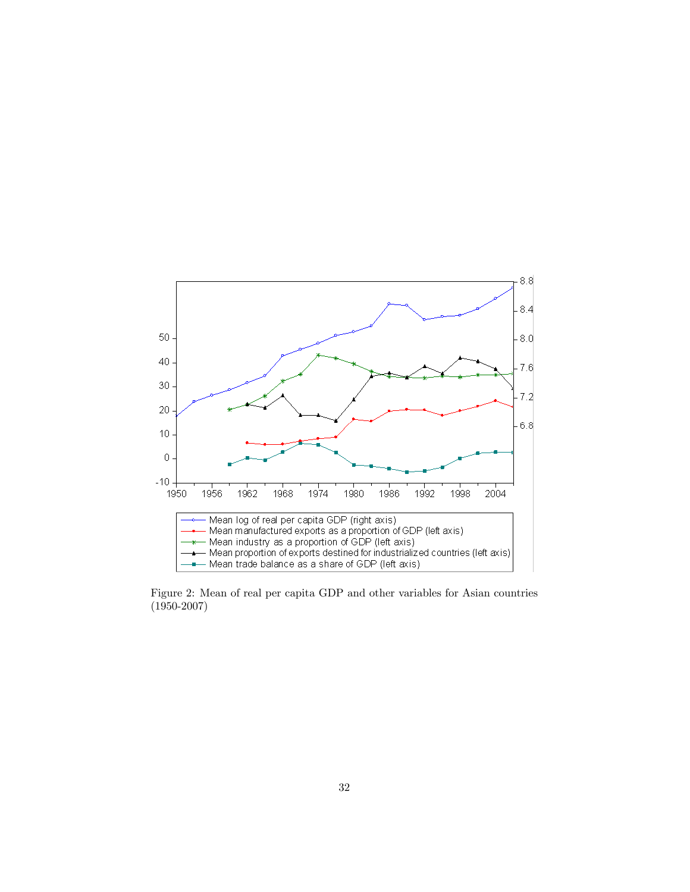

Figure 2: Mean of real per capita GDP and other variables for Asian countries (1950-2007)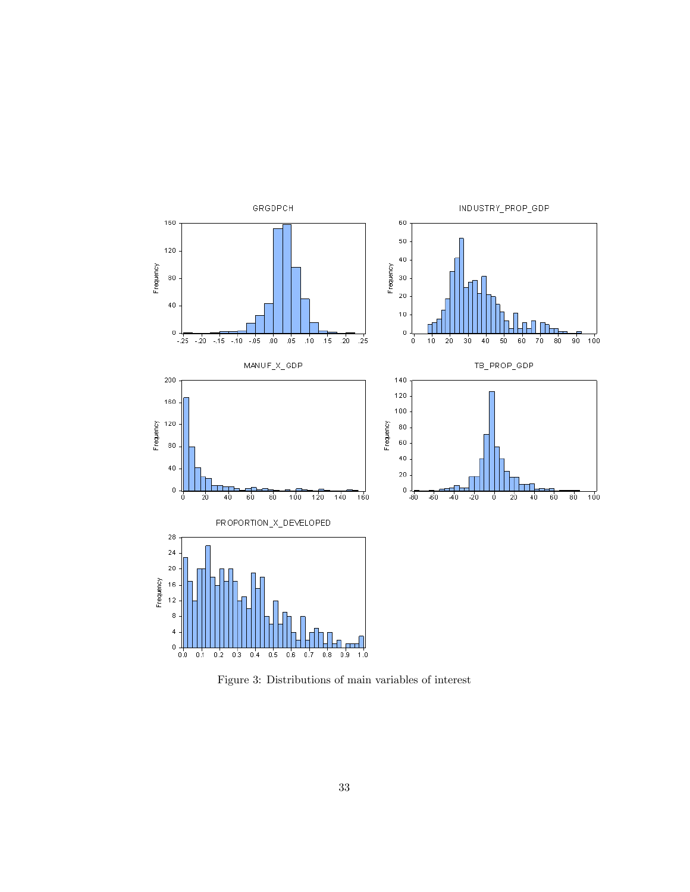

Figure 3: Distributions of main variables of interest